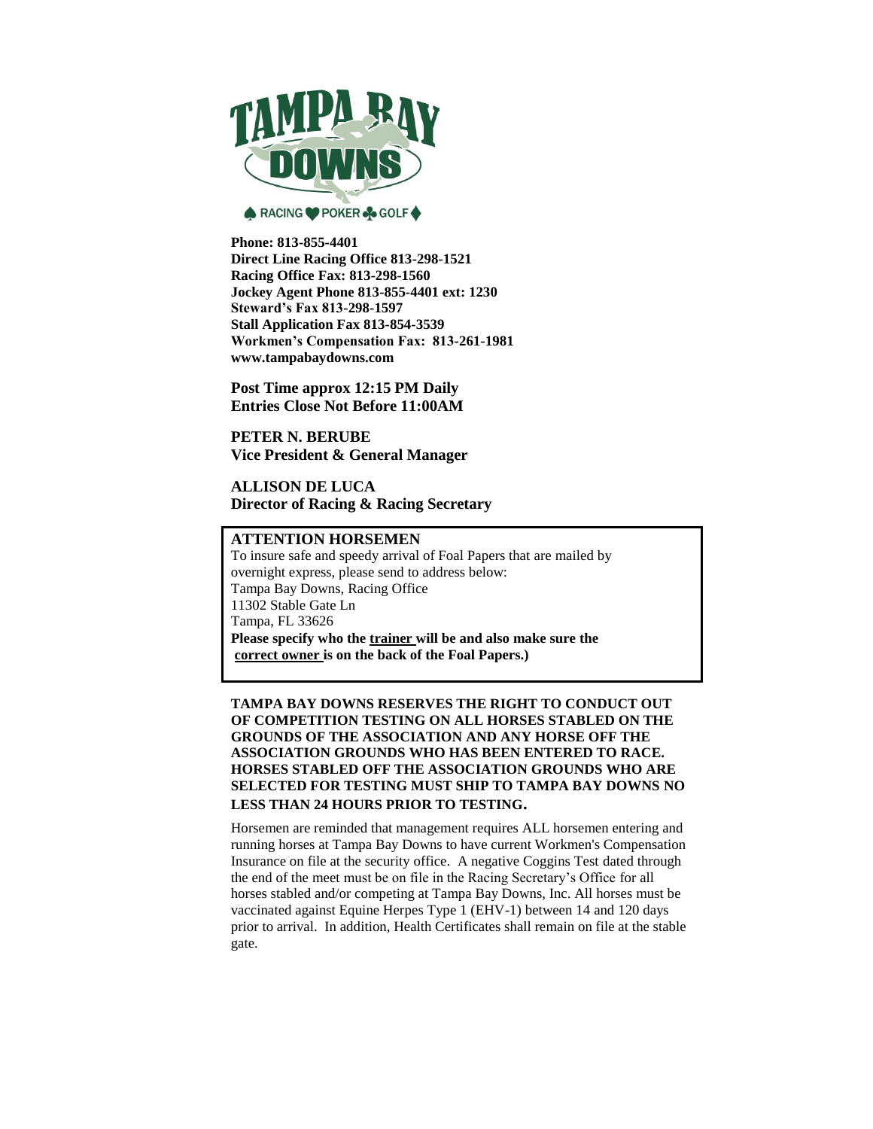

**Phone: 813-855-4401 Direct Line Racing Office 813-298-1521 Racing Office Fax: 813-298-1560 Jockey Agent Phone 813-855-4401 ext: 1230 Steward's Fax 813-298-1597 Stall Application Fax 813-854-3539 Workmen's Compensation Fax: 813-261-1981 www.tampabaydowns.com**

**Post Time approx 12:15 PM Daily Entries Close Not Before 11:00AM**

**PETER N. BERUBE Vice President & General Manager**

**ALLISON DE LUCA Director of Racing & Racing Secretary**

# **ATTENTION HORSEMEN**

To insure safe and speedy arrival of Foal Papers that are mailed by overnight express, please send to address below: Tampa Bay Downs, Racing Office 11302 Stable Gate Ln Tampa, FL 33626 **Please specify who the trainer will be and also make sure the correct owner is on the back of the Foal Papers.)**

**TAMPA BAY DOWNS RESERVES THE RIGHT TO CONDUCT OUT OF COMPETITION TESTING ON ALL HORSES STABLED ON THE GROUNDS OF THE ASSOCIATION AND ANY HORSE OFF THE ASSOCIATION GROUNDS WHO HAS BEEN ENTERED TO RACE. HORSES STABLED OFF THE ASSOCIATION GROUNDS WHO ARE SELECTED FOR TESTING MUST SHIP TO TAMPA BAY DOWNS NO LESS THAN 24 HOURS PRIOR TO TESTING.**

Horsemen are reminded that management requires ALL horsemen entering and running horses at Tampa Bay Downs to have current Workmen's Compensation Insurance on file at the security office. A negative Coggins Test dated through the end of the meet must be on file in the Racing Secretary's Office for all horses stabled and/or competing at Tampa Bay Downs, Inc. All horses must be vaccinated against Equine Herpes Type 1 (EHV-1) between 14 and 120 days prior to arrival. In addition, Health Certificates shall remain on file at the stable gate.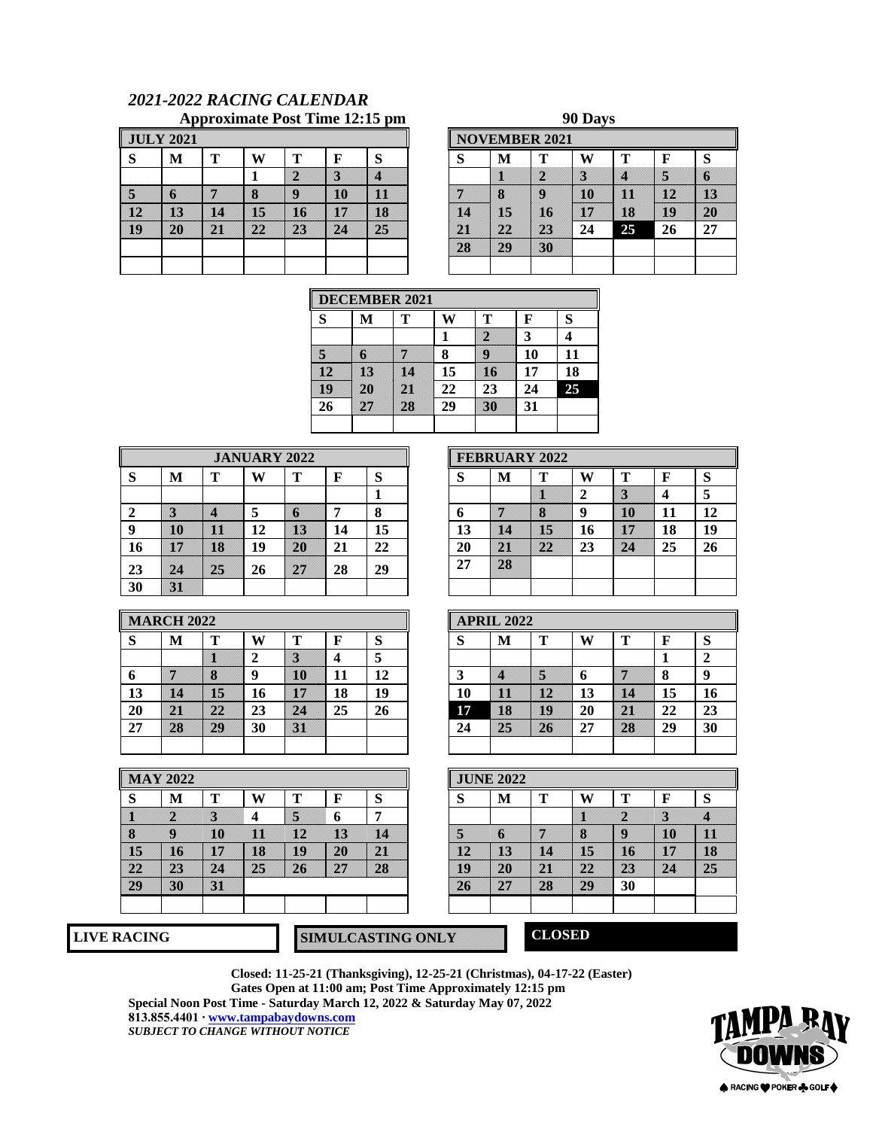# *2021-2022 RACING CALENDAR* Approximate Post Time 12:15 pm

|    | <b>JULY 2021</b> |    |    |    |    |    |    |    | <b>NOVEMBER 2021</b> |    |    |     |    |
|----|------------------|----|----|----|----|----|----|----|----------------------|----|----|-----|----|
| D  | M                | т  | W  | т  |    | S  | Ø  | M  | m                    | W  | m  |     | S  |
|    |                  |    |    | ×  | B  | x  |    | W  | X                    | s. | ×  | S   | O  |
| B  | n                | W  | B  | U  | 10 | m  | W  | B  | u                    | Ю  | m  | w   | B  |
| 82 | B                | U. | 16 | m  | W  | B  | 18 | 15 | K                    | W  | 18 | IU. | 20 |
| 80 | 20               | m  | w  | 23 | W. | 25 | m  | m  | Ж                    | 24 | 25 | 26  | 27 |
|    |                  |    |    |    |    |    | 28 | 20 | 30                   |    |    |     |    |
|    |                  |    |    |    |    |    |    |    |                      |    |    |     |    |

|              |   |    |    |    | <b>NOVEMBER 2021</b> |    |    |    |    |    |
|--------------|---|----|----|----|----------------------|----|----|----|----|----|
| W            | т | F  | S  | S  | M                    | т  | W  | т  | F  | Ø  |
| 1            | W | B  | Z. |    | U                    | W  | s. | Ľ! | W  | 0  |
| S.           | U | 10 | U  | ×  | B                    | U  | 10 | u  | p  | U  |
| B            | m | 18 | B  | r  | 16                   | 10 | w  | B  | 10 | m  |
| $\mathbf{z}$ | X | 22 | X  | m  | m                    | 23 | 24 | 25 | 26 | 27 |
|              |   |    |    | 23 | 29                   | 30 |    |    |    |    |
|              |   |    |    |    |                      |    |    |    |    |    |

|    | <b>DECEMBER 2021</b> |   |    |    |    |    |  |  |  |  |  |  |  |
|----|----------------------|---|----|----|----|----|--|--|--|--|--|--|--|
| S  | М                    | т |    |    | F  | S  |  |  |  |  |  |  |  |
|    |                      |   |    |    | 3  |    |  |  |  |  |  |  |  |
|    |                      |   | 8  |    | 10 | 11 |  |  |  |  |  |  |  |
|    |                      |   | 15 |    | 17 | 18 |  |  |  |  |  |  |  |
|    |                      |   | 22 | 23 | 24 | 25 |  |  |  |  |  |  |  |
| 26 |                      |   | 29 |    | 31 |    |  |  |  |  |  |  |  |
|    |                      |   |    |    |    |    |  |  |  |  |  |  |  |

|    |    |     |    | <b>JANUARY 2022</b> |    |         |    |    | <b>FEBRUARY 2022</b> |    |    |    |    |
|----|----|-----|----|---------------------|----|---------|----|----|----------------------|----|----|----|----|
| P  | M  | m   | W  | m                   |    | O<br>Đ. | O  | M  | m                    | W  |    |    | S  |
|    |    |     |    |                     |    |         |    |    |                      |    | N  |    |    |
|    | B  | ×   |    | 30                  |    | ഹ<br>o  | O  | W  | 83                   | g  | m  | 11 | 12 |
|    | m  | ,,, | 12 | B                   | 14 | 15      | 13 | 12 | B                    | 16 | W  | 18 | 19 |
| 16 | w  | 18  | 19 | 20                  | 21 | 22      | 20 | m  | m                    | 23 | X. | 25 | 26 |
| 23 | 24 | 25  | 26 | 27                  | 28 | 29      | 27 | 28 |                      |    |    |    |    |
| 30 | SI |     |    |                     |    |         |    |    |                      |    |    |    |    |

| M  | т<br>8 | W<br>∍<br>g | т<br>Ю | F<br>11 | S<br>5<br>12 |
|----|--------|-------------|--------|---------|--------------|
|    |        |             |        |         |              |
|    |        |             |        |         |              |
|    |        |             |        |         |              |
| e. | b      | 16          | b.     | 18      | 19           |
| 28 | 22     | 23          | DZ 1   | 25      | 26           |
| 28 |        |             |        |         |              |
|    |        |             |        |         |              |

|    | <b>MARCH 2022</b> |    |    |    |    |    |        | <b>APRIL 2022</b> |    |    |    |    |    |
|----|-------------------|----|----|----|----|----|--------|-------------------|----|----|----|----|----|
|    | М                 | m  | w  |    |    |    | O<br>O | M                 | m  | W  |    |    |    |
|    |                   |    |    | B  |    |    |        |                   |    |    |    |    |    |
|    | 46                | ×  | o  | 10 | 11 | 12 | A.     | Ľ!                | ×  | n  | 9  |    |    |
| 13 | œ                 | 16 | 16 | w  | 18 | 19 | 10     | m                 | w  | 13 | œ. | 15 |    |
| 20 | p.                | W) | 23 | m  | 25 | 26 | 17     | 18                | O. | 20 | m  | 22 | 23 |
| 27 | 28                | W  | 30 | IJ |    |    | 24     | 25                | 20 | 27 | R) | 29 |    |
|    |                   |    |    |    |    |    |        |                   |    |    |    |    |    |

|    |    |    |    |    |        | <b>APRIL 2022</b> |     |    |    |    |        |
|----|----|----|----|----|--------|-------------------|-----|----|----|----|--------|
|    | w  |    |    | ט  | ⌒<br>O | М                 | m   | W  |    | F  | O      |
|    | ↵  | ×  |    |    |        |                   |     |    |    |    | ∍<br>∠ |
| 8  | Q  | Ю  | 11 | 12 |        | 88                | S.  | n  | W  | σ  | g      |
| 15 | 16 | W  | 18 | 19 | 10     | w                 | ipa | 13 | U. | 15 | 16     |
| 22 | 23 | 24 | 25 | 26 | 17     | 18                | O.  | 20 | W. | 22 | 23     |
| W  | 30 | w  |    |    | 24     | W                 | 20  | 27 | W. | 29 | 30     |

|              | <b>MAY 2022</b> |    |    |    |    |    |  |         | <b>JUNE 2022</b> |     |    |    |    |     |
|--------------|-----------------|----|----|----|----|----|--|---------|------------------|-----|----|----|----|-----|
| S            | М               | m  | W  |    |    | N. |  | c<br>D. | М                | m   | W  |    | F  | S   |
|              | W               | x  |    | 5  | 6  | -  |  |         |                  |     | W  | W  | ×  | 3   |
| 8            | U               | m  | n  | p  | R) | 88 |  | X       | s                | ▧   | B  | U  | m  | WI. |
| B            | 80              | W  | 18 | w  | W) | W  |  | p       | 83               | 88  | B  | m  | W  | 88  |
| $\mathbf{z}$ | DR.             | 24 | 25 | 26 | M  | 28 |  | U       | 20               | e i | M  | 23 | w. | 85  |
| W            | 30              | W  |    |    |    |    |  | 26      | W                | 83  | W) | 30 |    |     |
|              |                 |    |    |    |    |    |  |         |                  |     |    |    |    |     |
|              |                 |    |    |    |    |    |  |         |                  |     |    |    |    |     |

| S | м | Т  |   | т  |   | S |
|---|---|----|---|----|---|---|
|   |   |    |   | G) | S | B |
|   | î |    | ъ |    |   |   |
|   |   | ×  |   | n  |   | b |
|   |   |    |   |    |   |   |
|   |   | 40 |   | 30 |   |   |

**LIVE RACING SIMULCASTING ONLY CLOSED**

**Closed: 11-25-21 (Thanksgiving), 12-25-21 (Christmas), 04-17-22 (Easter) Gates Open at 11:00 am; Post Time Approximately 12:15 pm Special Noon Post Time - Saturday March 12, 2022 & Saturday May 07, 2022 813.855.4401 [∙ www.tampabaydowns.com](http://www.tampabaydowns.com/)**

*SUBJECT TO CHANGE WITHOUT NOTICE*

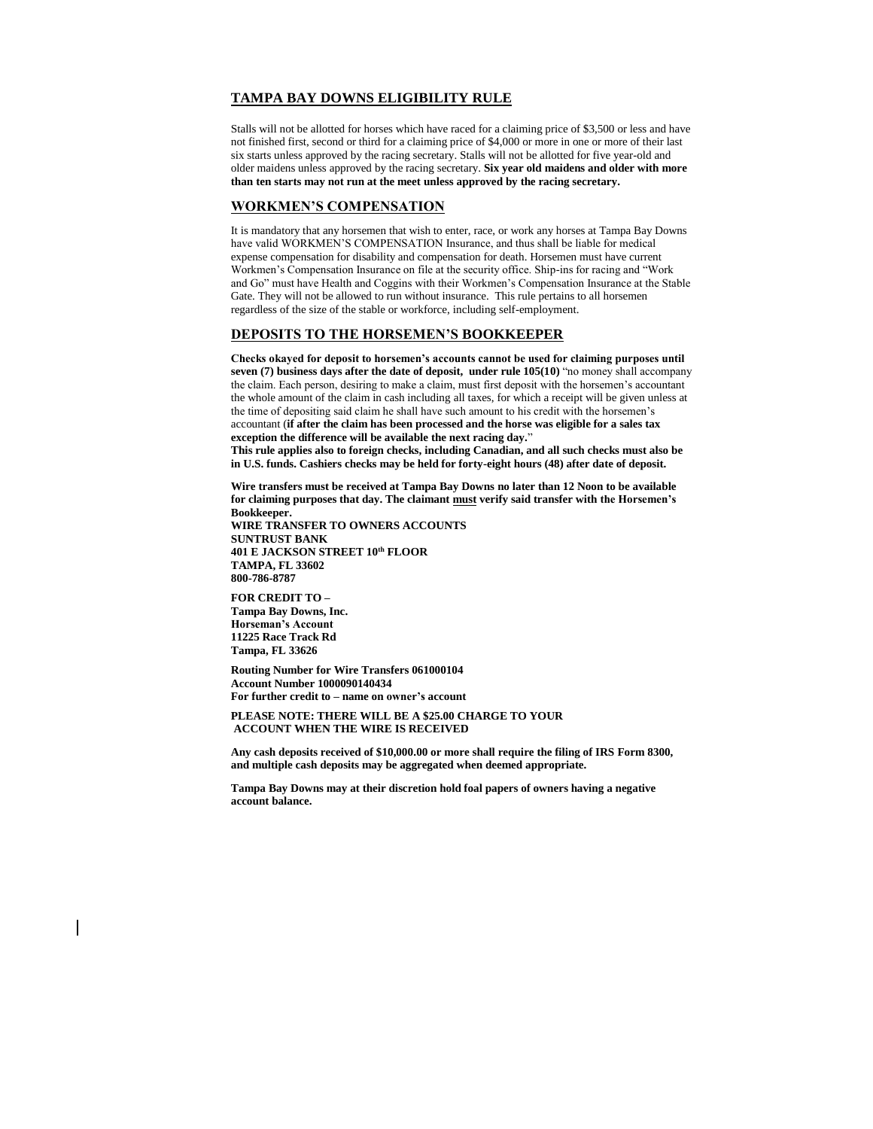# **TAMPA BAY DOWNS ELIGIBILITY RULE**

Stalls will not be allotted for horses which have raced for a claiming price of \$3,500 or less and have not finished first, second or third for a claiming price of \$4,000 or more in one or more of their last six starts unless approved by the racing secretary. Stalls will not be allotted for five year-old and older maidens unless approved by the racing secretary. **Six year old maidens and older with more than ten starts may not run at the meet unless approved by the racing secretary.**

#### **WORKMEN'S COMPENSATION**

It is mandatory that any horsemen that wish to enter, race, or work any horses at Tampa Bay Downs have valid WORKMEN'S COMPENSATION Insurance, and thus shall be liable for medical expense compensation for disability and compensation for death. Horsemen must have current Workmen's Compensation Insurance on file at the security office. Ship-ins for racing and "Work and Go" must have Health and Coggins with their Workmen's Compensation Insurance at the Stable Gate. They will not be allowed to run without insurance. This rule pertains to all horsemen regardless of the size of the stable or workforce, including self-employment.

#### **DEPOSITS TO THE HORSEMEN'S BOOKKEEPER**

**Checks okayed for deposit to horsemen's accounts cannot be used for claiming purposes until seven (7) business days after the date of deposit, under rule 105(10)** "no money shall accompany the claim. Each person, desiring to make a claim, must first deposit with the horsemen's accountant the whole amount of the claim in cash including all taxes, for which a receipt will be given unless at the time of depositing said claim he shall have such amount to his credit with the horsemen's accountant (**if after the claim has been processed and the horse was eligible for a sales tax exception the difference will be available the next racing day.**"

**This rule applies also to foreign checks, including Canadian, and all such checks must also be in U.S. funds. Cashiers checks may be held for forty-eight hours (48) after date of deposit.**

**Wire transfers must be received at Tampa Bay Downs no later than 12 Noon to be available for claiming purposes that day. The claimant must verify said transfer with the Horsemen's Bookkeeper.**

**WIRE TRANSFER TO OWNERS ACCOUNTS SUNTRUST BANK 401 E JACKSON STREET 10th FLOOR TAMPA, FL 33602 800-786-8787**

**FOR CREDIT TO – Tampa Bay Downs, Inc. Horseman's Account 11225 Race Track Rd Tampa, FL 33626**

**Routing Number for Wire Transfers 061000104 Account Number 1000090140434 For further credit to – name on owner's account**

**PLEASE NOTE: THERE WILL BE A \$25.00 CHARGE TO YOUR ACCOUNT WHEN THE WIRE IS RECEIVED** 

**Any cash deposits received of \$10,000.00 or more shall require the filing of IRS Form 8300, and multiple cash deposits may be aggregated when deemed appropriate.** 

**Tampa Bay Downs may at their discretion hold foal papers of owners having a negative account balance.**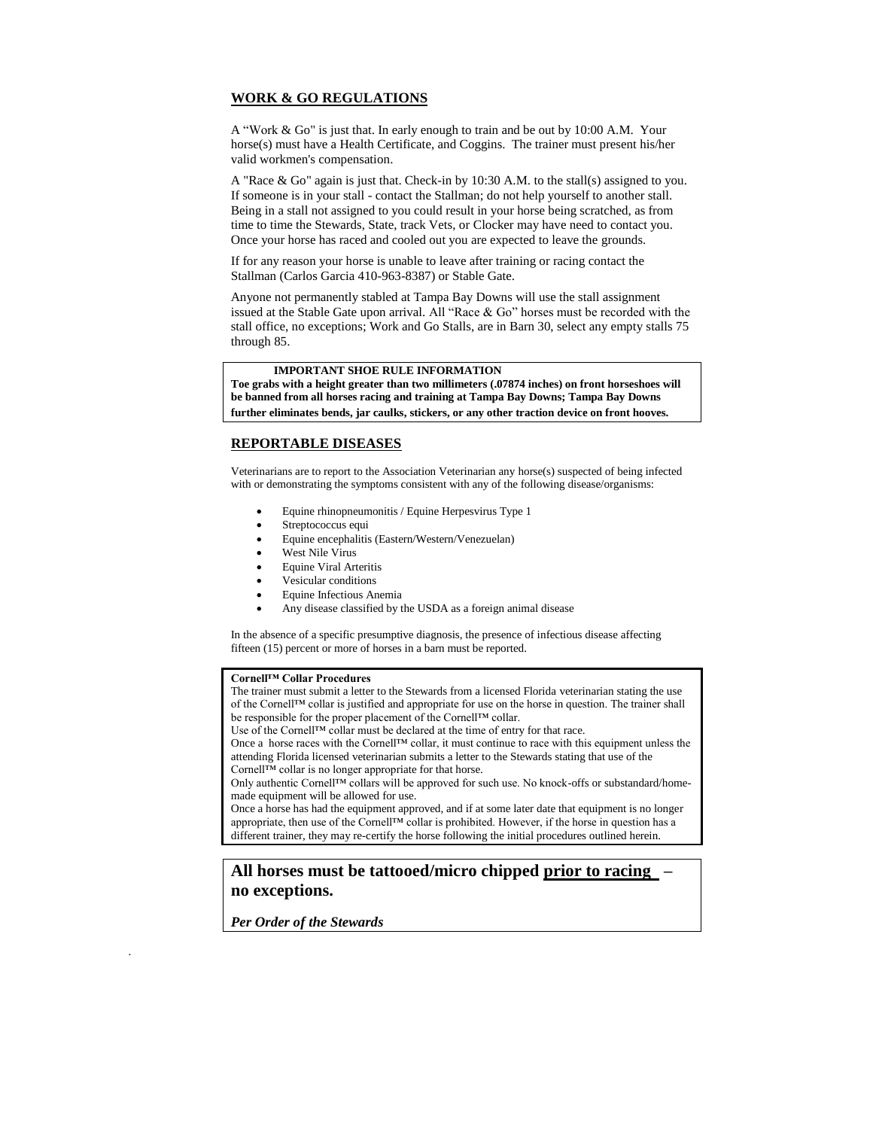# **WORK & GO REGULATIONS**

A "Work & Go" is just that. In early enough to train and be out by 10:00 A.M. Your horse(s) must have a Health Certificate, and Coggins. The trainer must present his/her valid workmen's compensation.

A "Race & Go" again is just that. Check-in by 10:30 A.M. to the stall(s) assigned to you. If someone is in your stall - contact the Stallman; do not help yourself to another stall. Being in a stall not assigned to you could result in your horse being scratched, as from time to time the Stewards, State, track Vets, or Clocker may have need to contact you. Once your horse has raced and cooled out you are expected to leave the grounds.

If for any reason your horse is unable to leave after training or racing contact the Stallman (Carlos Garcia 410-963-8387) or Stable Gate.

Anyone not permanently stabled at Tampa Bay Downs will use the stall assignment issued at the Stable Gate upon arrival. All "Race & Go" horses must be recorded with the stall office, no exceptions; Work and Go Stalls, are in Barn 30, select any empty stalls 75 through 85.

## **IMPORTANT SHOE RULE INFORMATION**

**Toe grabs with a height greater than two millimeters (.07874 inches) on front horseshoes will be banned from all horses racing and training at Tampa Bay Downs; Tampa Bay Downs further eliminates bends, jar caulks, stickers, or any other traction device on front hooves.**

# **REPORTABLE DISEASES**

Veterinarians are to report to the Association Veterinarian any horse(s) suspected of being infected with or demonstrating the symptoms consistent with any of the following disease/organisms:

- Equine rhinopneumonitis / Equine Herpesvirus Type 1
- Streptococcus equi
- Equine encephalitis (Eastern/Western/Venezuelan)
- West Nile Virus
- Equine Viral Arteritis
- Vesicular conditions
- Equine Infectious Anemia
- Any disease classified by the USDA as a foreign animal disease

In the absence of a specific presumptive diagnosis, the presence of infectious disease affecting fifteen (15) percent or more of horses in a barn must be reported.

#### **Cornell™ Collar Procedures**

The trainer must submit a letter to the Stewards from a licensed Florida veterinarian stating the use of the Cornell™ collar is justified and appropriate for use on the horse in question. The trainer shall be responsible for the proper placement of the Cornell™ collar.

Use of the Cornell™ collar must be declared at the time of entry for that race.

Once a horse races with the Cornell™ collar, it must continue to race with this equipment unless the attending Florida licensed veterinarian submits a letter to the Stewards stating that use of the Cornell™ collar is no longer appropriate for that horse.

Only authentic Cornell™ collars will be approved for such use. No knock-offs or substandard/homemade equipment will be allowed for use.

Once a horse has had the equipment approved, and if at some later date that equipment is no longer appropriate, then use of the Cornell™ collar is prohibited. However, if the horse in question has a different trainer, they may re-certify the horse following the initial procedures outlined herein.

# **All horses must be tattooed/micro chipped prior to racing – no exceptions.**

*Per Order of the Stewards*

.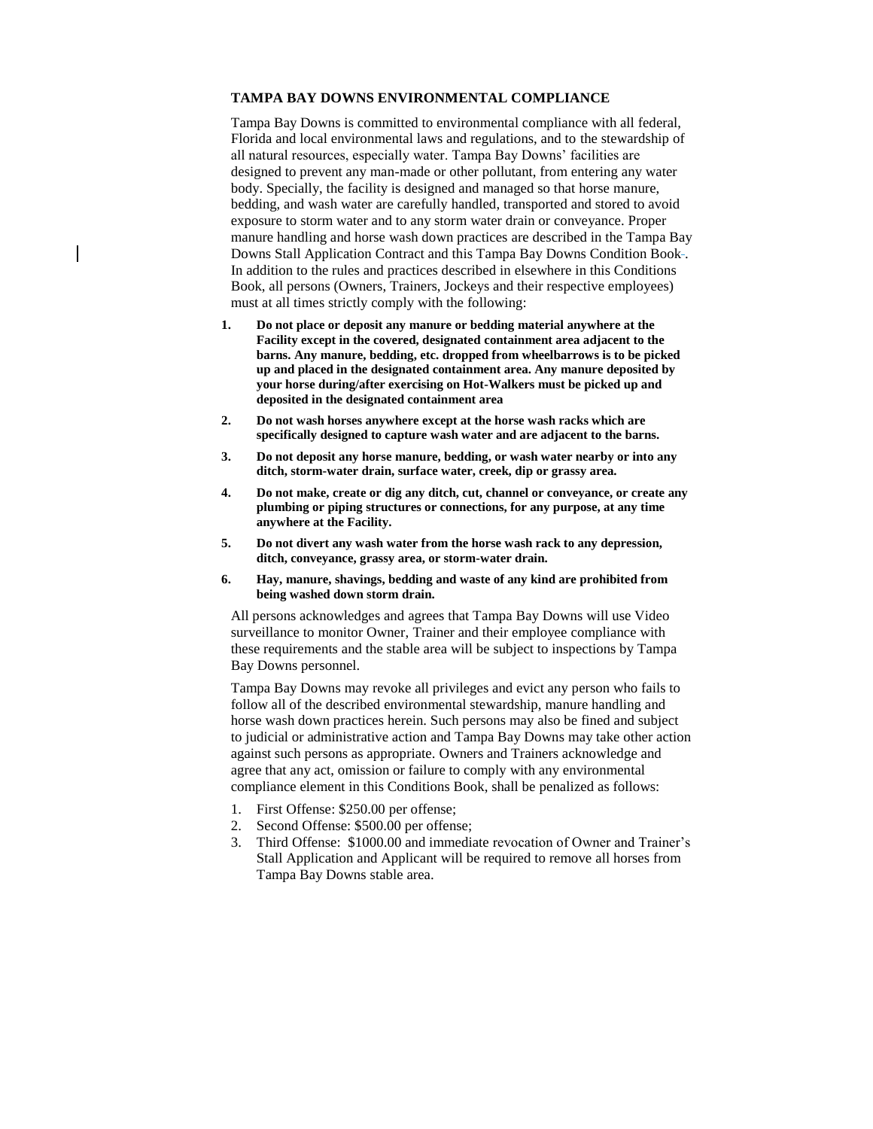# **TAMPA BAY DOWNS ENVIRONMENTAL COMPLIANCE**

Tampa Bay Downs is committed to environmental compliance with all federal, Florida and local environmental laws and regulations, and to the stewardship of all natural resources, especially water. Tampa Bay Downs' facilities are designed to prevent any man-made or other pollutant, from entering any water body. Specially, the facility is designed and managed so that horse manure, bedding, and wash water are carefully handled, transported and stored to avoid exposure to storm water and to any storm water drain or conveyance. Proper manure handling and horse wash down practices are described in the Tampa Bay Downs Stall Application Contract and this Tampa Bay Downs Condition Book . In addition to the rules and practices described in elsewhere in this Conditions Book, all persons (Owners, Trainers, Jockeys and their respective employees) must at all times strictly comply with the following:

- **1. Do not place or deposit any manure or bedding material anywhere at the Facility except in the covered, designated containment area adjacent to the barns. Any manure, bedding, etc. dropped from wheelbarrows is to be picked up and placed in the designated containment area. Any manure deposited by your horse during/after exercising on Hot-Walkers must be picked up and deposited in the designated containment area**
- **2. Do not wash horses anywhere except at the horse wash racks which are specifically designed to capture wash water and are adjacent to the barns.**
- **3. Do not deposit any horse manure, bedding, or wash water nearby or into any ditch, storm-water drain, surface water, creek, dip or grassy area.**
- **4. Do not make, create or dig any ditch, cut, channel or conveyance, or create any plumbing or piping structures or connections, for any purpose, at any time anywhere at the Facility.**
- **5. Do not divert any wash water from the horse wash rack to any depression, ditch, conveyance, grassy area, or storm-water drain.**
- **6. Hay, manure, shavings, bedding and waste of any kind are prohibited from being washed down storm drain.**

All persons acknowledges and agrees that Tampa Bay Downs will use Video surveillance to monitor Owner, Trainer and their employee compliance with these requirements and the stable area will be subject to inspections by Tampa Bay Downs personnel.

Tampa Bay Downs may revoke all privileges and evict any person who fails to follow all of the described environmental stewardship, manure handling and horse wash down practices herein. Such persons may also be fined and subject to judicial or administrative action and Tampa Bay Downs may take other action against such persons as appropriate. Owners and Trainers acknowledge and agree that any act, omission or failure to comply with any environmental compliance element in this Conditions Book, shall be penalized as follows:

- 1. First Offense: \$250.00 per offense;
- 2. Second Offense: \$500.00 per offense;
- 3. Third Offense: \$1000.00 and immediate revocation of Owner and Trainer's Stall Application and Applicant will be required to remove all horses from Tampa Bay Downs stable area.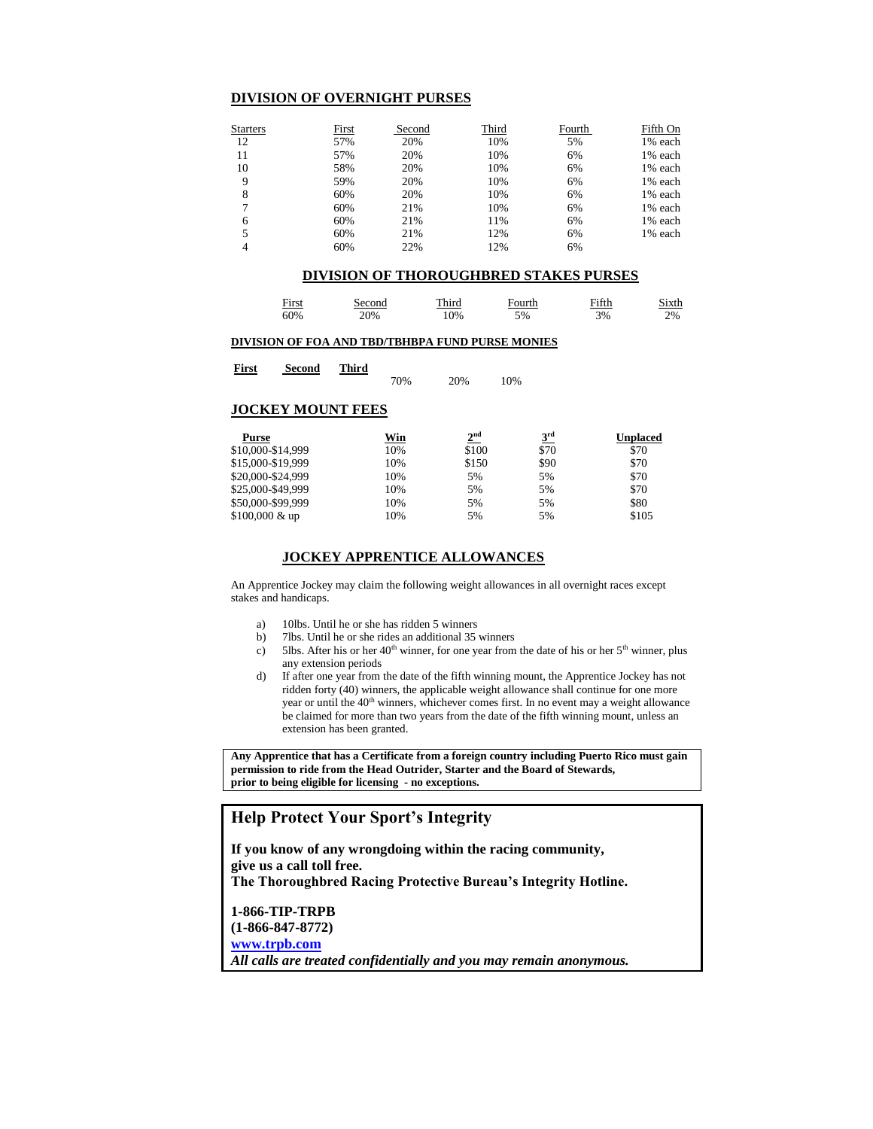### **DIVISION OF OVERNIGHT PURSES**

| <b>Starters</b> | First | Second | Third | Fourth | Fifth On |
|-----------------|-------|--------|-------|--------|----------|
| 12              | 57%   | 20%    | 10%   | 5%     | 1% each  |
| 11              | 57%   | 20%    | 10%   | 6%     | 1% each  |
| 10              | 58%   | 20%    | 10%   | 6%     | 1% each  |
| 9               | 59%   | 20%    | 10%   | 6%     | 1% each  |
| 8               | 60%   | 20%    | 10%   | 6%     | 1% each  |
|                 | 60%   | 21%    | 10%   | 6%     | 1% each  |
| 6               | 60%   | 21%    | 11%   | 6%     | 1% each  |
|                 | 60%   | 21%    | 12%   | 6%     | 1% each  |
|                 | 60%   | 22%    | 12%   | 6%     |          |

### **DIVISION OF THOROUGHBRED STAKES PURSES**

| First | Second | Third | Fourth | Fifth | Sixth |
|-------|--------|-------|--------|-------|-------|
| 60%   | 20%    | .0%   | 5%     | 3%    | 2%    |

#### **DIVISION OF FOA AND TBD/TBHBPA FUND PURSE MONIES**

| First | Second | <b>Third</b> |     |     |     |
|-------|--------|--------------|-----|-----|-----|
|       |        |              | 70% | 20% | 10% |

#### **JOCKEY MOUNT FEES**

| <b>Purse</b>            | Win | 2 <sup>nd</sup> | 3 <sup>rd</sup> | Unplaced |
|-------------------------|-----|-----------------|-----------------|----------|
| \$10,000-\$14,999       | 10% | \$100           | \$70            | \$70     |
| \$15,000-\$19,999       | 10% | \$150           | \$90            | \$70     |
| \$20,000-\$24,999       | 10% | 5%              | 5%              | \$70     |
| \$25,000-\$49,999       | 10% | 5%              | 5%              | \$70     |
| \$50,000-\$99,999       | 10% | 5%              | 5%              | \$80     |
| $$100,000 \& \text{up}$ | 10% | 5%              | 5%              | \$105    |

# **JOCKEY APPRENTICE ALLOWANCES**

An Apprentice Jockey may claim the following weight allowances in all overnight races except stakes and handicaps.

- a) 10lbs. Until he or she has ridden 5 winners
- b) 7lbs. Until he or she rides an additional 35 winners
- c) 5lbs. After his or her  $40<sup>th</sup>$  winner, for one year from the date of his or her  $5<sup>th</sup>$  winner, plus any extension periods
- d) If after one year from the date of the fifth winning mount, the Apprentice Jockey has not ridden forty (40) winners, the applicable weight allowance shall continue for one more year or until the 40<sup>th</sup> winners, whichever comes first. In no event may a weight allowance be claimed for more than two years from the date of the fifth winning mount, unless an extension has been granted.

**Any Apprentice that has a Certificate from a foreign country including Puerto Rico must gain permission to ride from the Head Outrider, Starter and the Board of Stewards, prior to being eligible for licensing - no exceptions.** 

# **Help Protect Your Sport's Integrity**

**If you know of any wrongdoing within the racing community, give us a call toll free. The Thoroughbred Racing Protective Bureau's Integrity Hotline. 1-866-TIP-TRPB (1-866-847-8772) [www.trpb.com](http://www.trpb.com/)** *All calls are treated confidentially and you may remain anonymous.*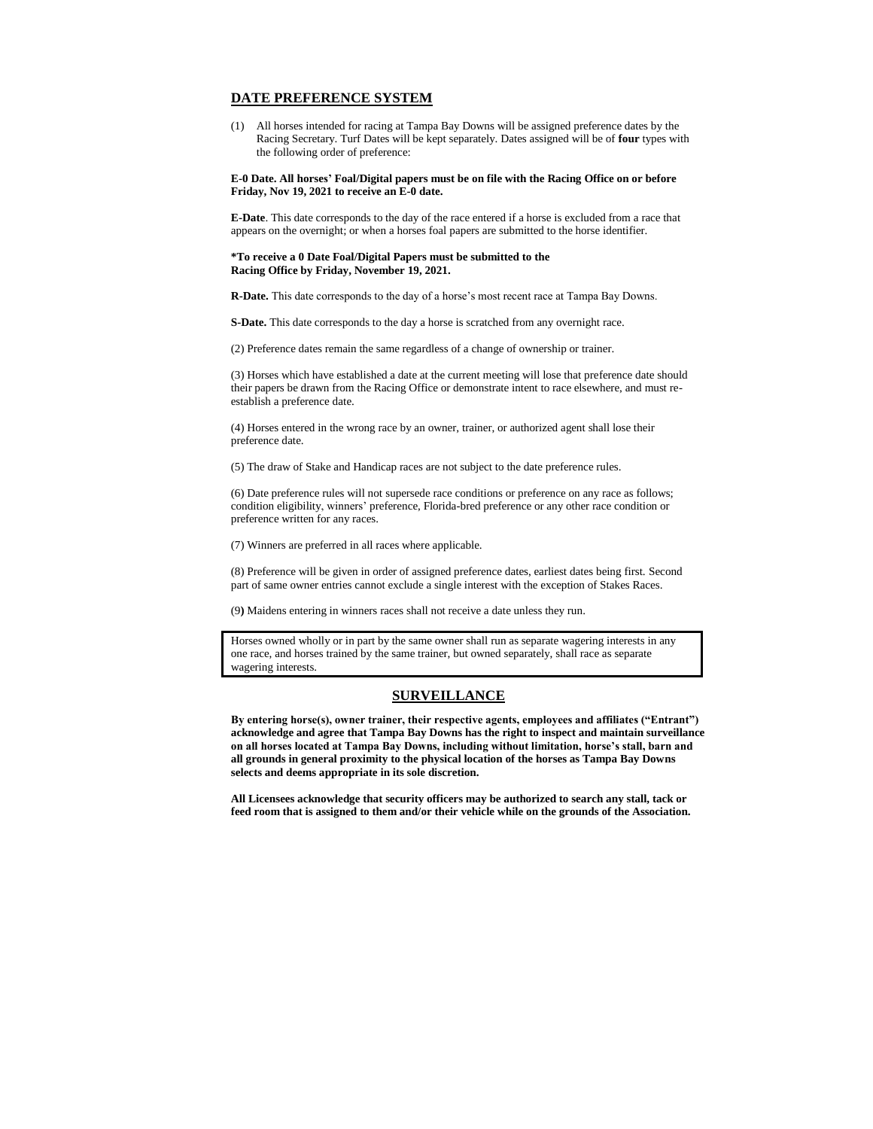### **DATE PREFERENCE SYSTEM**

(1) All horses intended for racing at Tampa Bay Downs will be assigned preference dates by the Racing Secretary. Turf Dates will be kept separately. Dates assigned will be of **four** types with the following order of preference:

**E-0 Date. All horses' Foal/Digital papers must be on file with the Racing Office on or before Friday, Nov 19, 2021 to receive an E-0 date.**

**E-Date**. This date corresponds to the day of the race entered if a horse is excluded from a race that appears on the overnight; or when a horses foal papers are submitted to the horse identifier.

#### **\*To receive a 0 Date Foal/Digital Papers must be submitted to the Racing Office by Friday, November 19, 2021.**

**R-Date.** This date corresponds to the day of a horse's most recent race at Tampa Bay Downs.

**S-Date.** This date corresponds to the day a horse is scratched from any overnight race.

(2) Preference dates remain the same regardless of a change of ownership or trainer.

(3) Horses which have established a date at the current meeting will lose that preference date should their papers be drawn from the Racing Office or demonstrate intent to race elsewhere, and must reestablish a preference date.

(4) Horses entered in the wrong race by an owner, trainer, or authorized agent shall lose their preference date.

(5) The draw of Stake and Handicap races are not subject to the date preference rules.

(6) Date preference rules will not supersede race conditions or preference on any race as follows; condition eligibility, winners' preference, Florida-bred preference or any other race condition or preference written for any races.

(7) Winners are preferred in all races where applicable.

(8) Preference will be given in order of assigned preference dates, earliest dates being first. Second part of same owner entries cannot exclude a single interest with the exception of Stakes Races.

(9**)** Maidens entering in winners races shall not receive a date unless they run.

Horses owned wholly or in part by the same owner shall run as separate wagering interests in any one race, and horses trained by the same trainer, but owned separately, shall race as separate wagering interests.

#### **SURVEILLANCE**

**By entering horse(s), owner trainer, their respective agents, employees and affiliates ("Entrant") acknowledge and agree that Tampa Bay Downs has the right to inspect and maintain surveillance on all horses located at Tampa Bay Downs, including without limitation, horse's stall, barn and all grounds in general proximity to the physical location of the horses as Tampa Bay Downs selects and deems appropriate in its sole discretion.**

**All Licensees acknowledge that security officers may be authorized to search any stall, tack or feed room that is assigned to them and/or their vehicle while on the grounds of the Association.**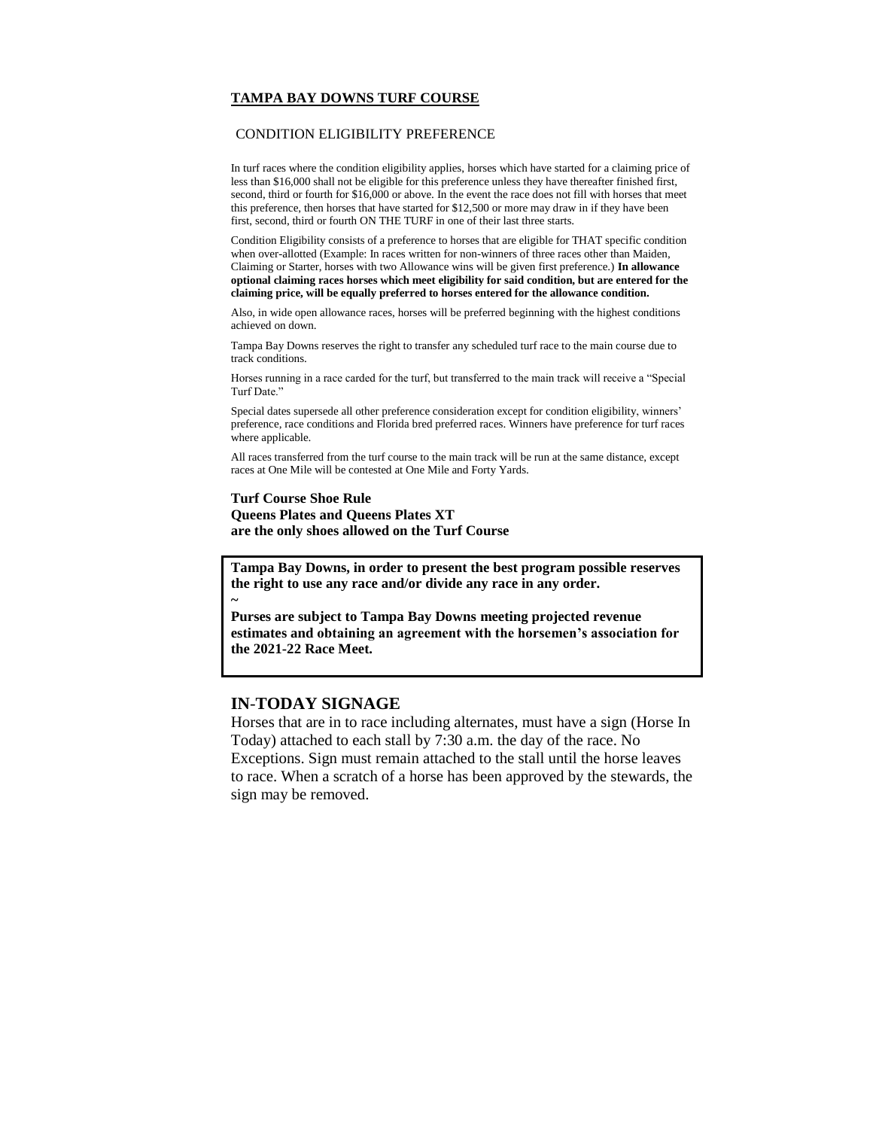# **TAMPA BAY DOWNS TURF COURSE**

## CONDITION ELIGIBILITY PREFERENCE

In turf races where the condition eligibility applies, horses which have started for a claiming price of less than \$16,000 shall not be eligible for this preference unless they have thereafter finished first, second, third or fourth for \$16,000 or above. In the event the race does not fill with horses that meet this preference, then horses that have started for \$12,500 or more may draw in if they have been first, second, third or fourth ON THE TURF in one of their last three starts.

Condition Eligibility consists of a preference to horses that are eligible for THAT specific condition when over-allotted (Example: In races written for non-winners of three races other than Maiden, Claiming or Starter, horses with two Allowance wins will be given first preference.) **In allowance optional claiming races horses which meet eligibility for said condition, but are entered for the claiming price, will be equally preferred to horses entered for the allowance condition.**

Also, in wide open allowance races, horses will be preferred beginning with the highest conditions achieved on down.

Tampa Bay Downs reserves the right to transfer any scheduled turf race to the main course due to track conditions.

Horses running in a race carded for the turf, but transferred to the main track will receive a "Special Turf Date."

Special dates supersede all other preference consideration except for condition eligibility, winners' preference, race conditions and Florida bred preferred races. Winners have preference for turf races where applicable.

All races transferred from the turf course to the main track will be run at the same distance, except races at One Mile will be contested at One Mile and Forty Yards.

# **Turf Course Shoe Rule Queens Plates and Queens Plates XT are the only shoes allowed on the Turf Course**

**Tampa Bay Downs, in order to present the best program possible reserves the right to use any race and/or divide any race in any order.**

**Purses are subject to Tampa Bay Downs meeting projected revenue estimates and obtaining an agreement with the horsemen's association for the 2021-22 Race Meet.**

# **IN**-**TODAY SIGNAGE**

**~**

Horses that are in to race including alternates, must have a sign (Horse In Today) attached to each stall by 7:30 a.m. the day of the race. No Exceptions. Sign must remain attached to the stall until the horse leaves to race. When a scratch of a horse has been approved by the stewards, the sign may be removed.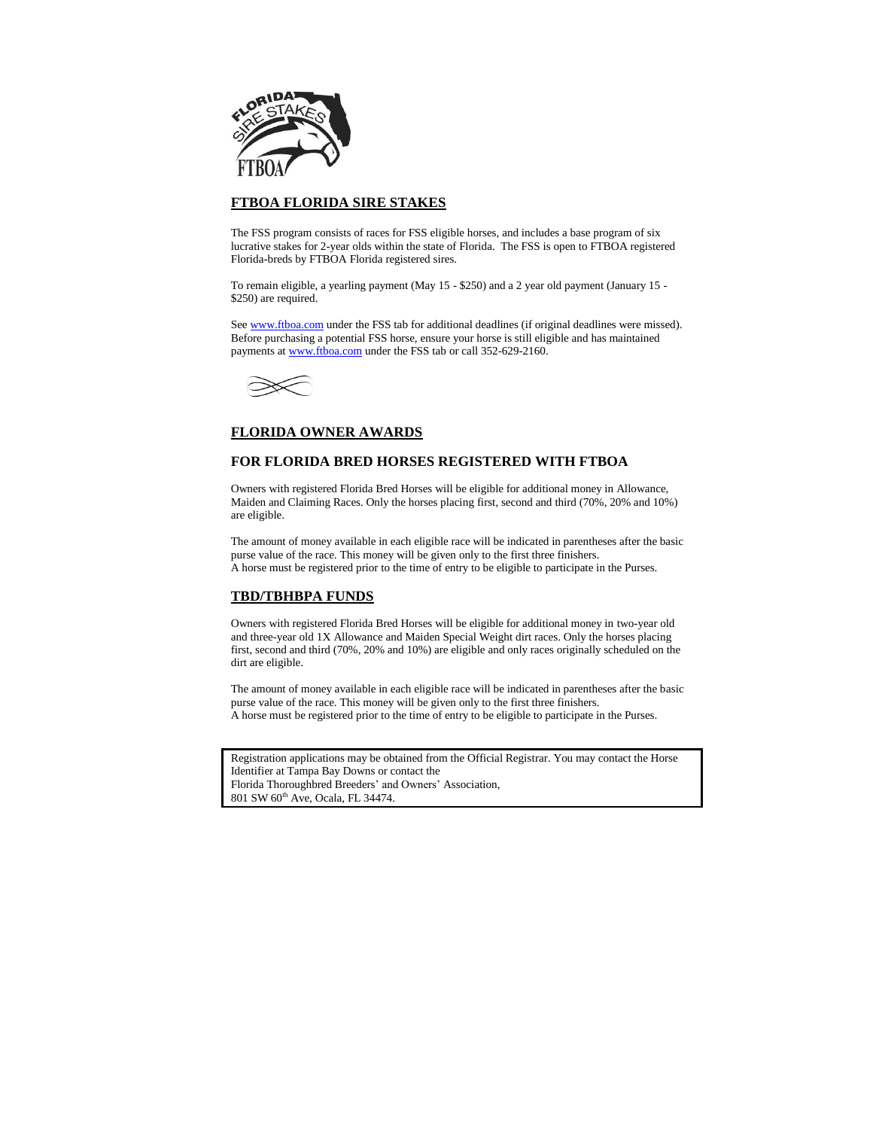

# **FTBOA FLORIDA SIRE STAKES**

The FSS program consists of races for FSS eligible horses, and includes a base program of six lucrative stakes for 2-year olds within the state of Florida. The FSS is open to FTBOA registered Florida-breds by FTBOA Florida registered sires.

To remain eligible, a yearling payment (May 15 - \$250) and a 2 year old payment (January 15 - \$250) are required.

Se[e www.ftboa.com](http://www.ftboa.com/) under the FSS tab for additional deadlines (if original deadlines were missed). Before purchasing a potential FSS horse, ensure your horse is still eligible and has maintained payments a[t www.ftboa.com](http://www.ftboa.com/) under the FSS tab or call 352-629-2160.



# **FLORIDA OWNER AWARDS**

# **FOR FLORIDA BRED HORSES REGISTERED WITH FTBOA**

Owners with registered Florida Bred Horses will be eligible for additional money in Allowance, Maiden and Claiming Races. Only the horses placing first, second and third (70%, 20% and 10%) are eligible.

The amount of money available in each eligible race will be indicated in parentheses after the basic purse value of the race. This money will be given only to the first three finishers. A horse must be registered prior to the time of entry to be eligible to participate in the Purses.

# **TBD/TBHBPA FUNDS**

Owners with registered Florida Bred Horses will be eligible for additional money in two-year old and three-year old 1X Allowance and Maiden Special Weight dirt races. Only the horses placing first, second and third (70%, 20% and 10%) are eligible and only races originally scheduled on the dirt are eligible.

The amount of money available in each eligible race will be indicated in parentheses after the basic purse value of the race. This money will be given only to the first three finishers. A horse must be registered prior to the time of entry to be eligible to participate in the Purses.

| Registration applications may be obtained from the Official Registrar. You may contact the Horse |
|--------------------------------------------------------------------------------------------------|
| Identifier at Tampa Bay Downs or contact the                                                     |
| Florida Thoroughbred Breeders' and Owners' Association,                                          |
| 801 SW 60 <sup>th</sup> Ave. Ocala, FL 34474.                                                    |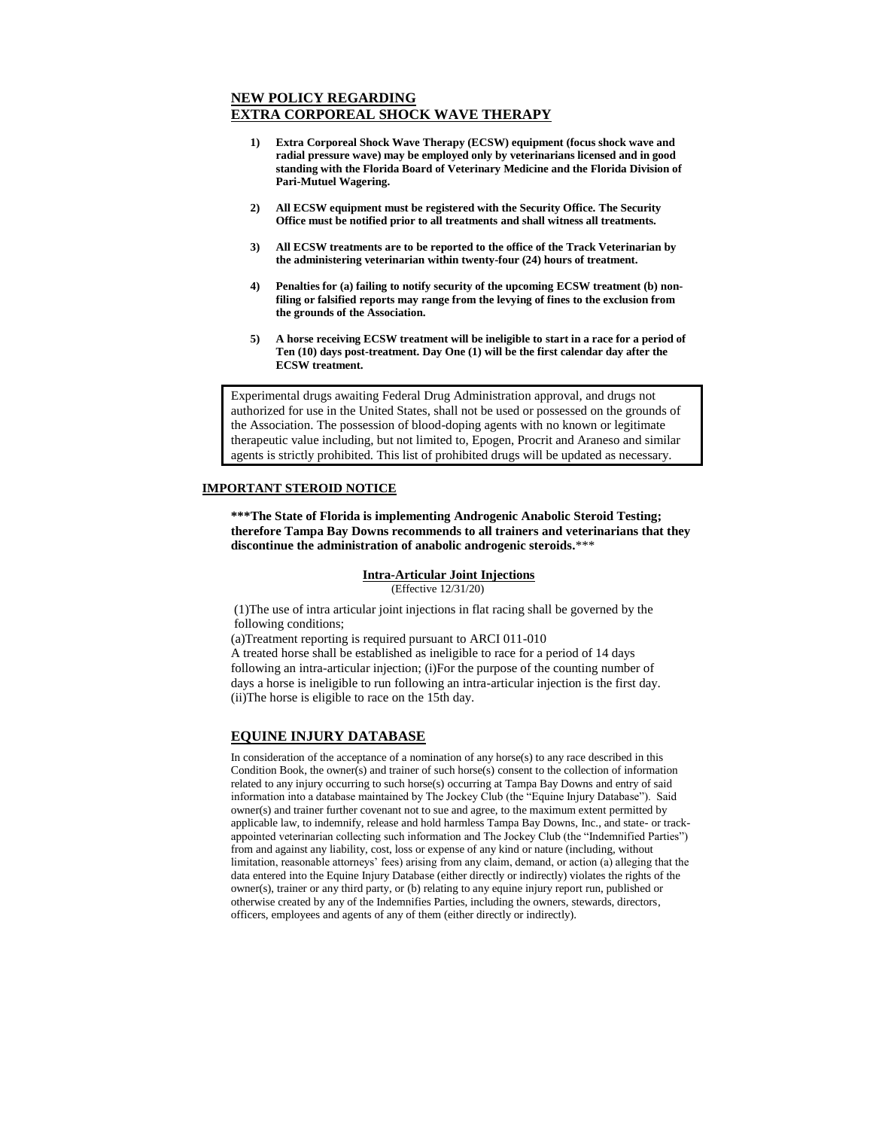# **NEW POLICY REGARDING EXTRA CORPOREAL SHOCK WAVE THERAPY**

- **1) Extra Corporeal Shock Wave Therapy (ECSW) equipment (focus shock wave and radial pressure wave) may be employed only by veterinarians licensed and in good standing with the Florida Board of Veterinary Medicine and the Florida Division of Pari-Mutuel Wagering.**
- **2) All ECSW equipment must be registered with the Security Office. The Security Office must be notified prior to all treatments and shall witness all treatments.**
- **3) All ECSW treatments are to be reported to the office of the Track Veterinarian by the administering veterinarian within twenty-four (24) hours of treatment.**
- **4) Penalties for (a) failing to notify security of the upcoming ECSW treatment (b) nonfiling or falsified reports may range from the levying of fines to the exclusion from the grounds of the Association.**
- **5) A horse receiving ECSW treatment will be ineligible to start in a race for a period of Ten (10) days post-treatment. Day One (1) will be the first calendar day after the ECSW treatment.**

Experimental drugs awaiting Federal Drug Administration approval, and drugs not authorized for use in the United States, shall not be used or possessed on the grounds of the Association. The possession of blood-doping agents with no known or legitimate therapeutic value including, but not limited to, Epogen, Procrit and Araneso and similar agents is strictly prohibited. This list of prohibited drugs will be updated as necessary.

#### **IMPORTANT STEROID NOTICE**

**\*\*\*The State of Florida is implementing Androgenic Anabolic Steroid Testing; therefore Tampa Bay Downs recommends to all trainers and veterinarians that they discontinue the administration of anabolic androgenic steroids.**\*\*\*

# **Intra-Articular Joint Injections**

(Effective 12/31/20)

(1)The use of intra articular joint injections in flat racing shall be governed by the following conditions;

(a)Treatment reporting is required pursuant to ARCI 011-010 A treated horse shall be established as ineligible to race for a period of 14 days following an intra-articular injection; (i)For the purpose of the counting number of days a horse is ineligible to run following an intra-articular injection is the first day. (ii)The horse is eligible to race on the 15th day.

### **EQUINE INJURY DATABASE**

In consideration of the acceptance of a nomination of any horse(s) to any race described in this Condition Book, the owner(s) and trainer of such horse(s) consent to the collection of information related to any injury occurring to such horse(s) occurring at Tampa Bay Downs and entry of said information into a database maintained by The Jockey Club (the "Equine Injury Database"). Said owner(s) and trainer further covenant not to sue and agree, to the maximum extent permitted by applicable law, to indemnify, release and hold harmless Tampa Bay Downs, Inc., and state- or trackappointed veterinarian collecting such information and The Jockey Club (the "Indemnified Parties") from and against any liability, cost, loss or expense of any kind or nature (including, without limitation, reasonable attorneys' fees) arising from any claim, demand, or action (a) alleging that the data entered into the Equine Injury Database (either directly or indirectly) violates the rights of the owner(s), trainer or any third party, or (b) relating to any equine injury report run, published or otherwise created by any of the Indemnifies Parties, including the owners, stewards, directors, officers, employees and agents of any of them (either directly or indirectly).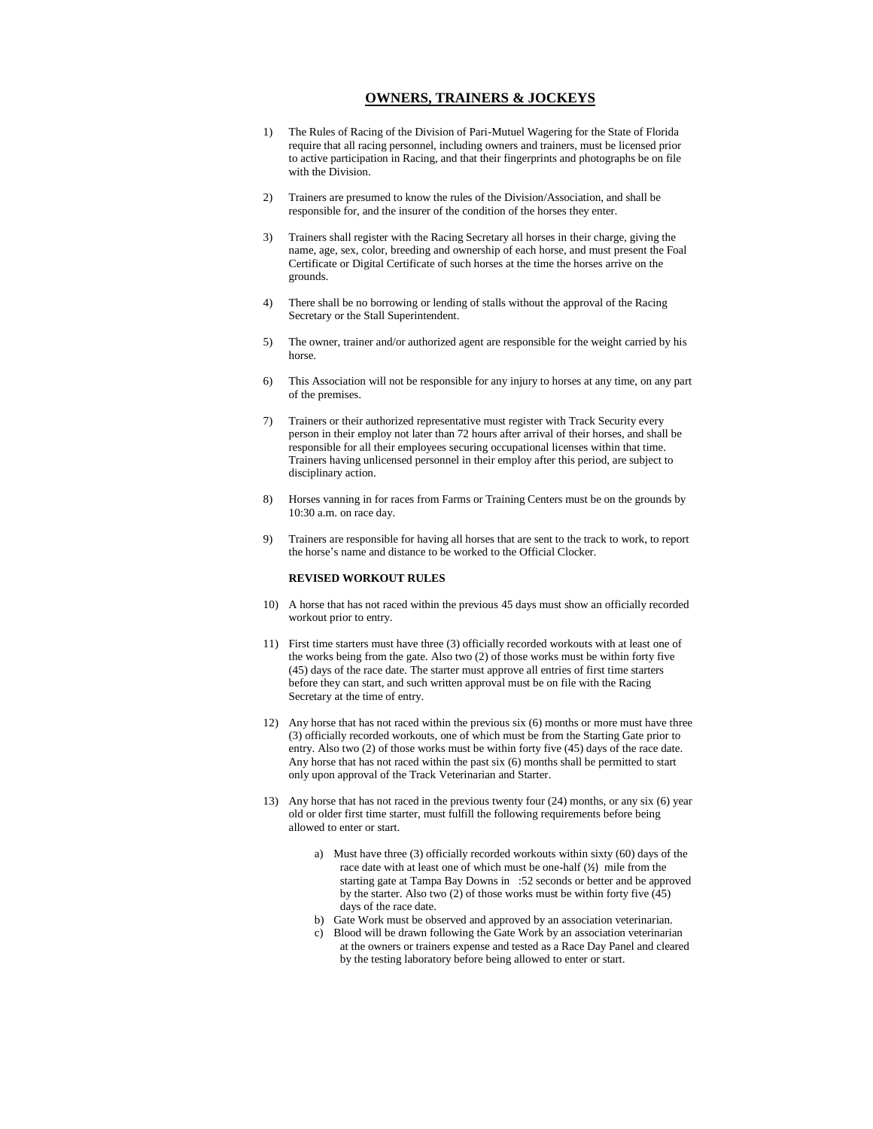#### **OWNERS, TRAINERS & JOCKEYS**

- 1) The Rules of Racing of the Division of Pari-Mutuel Wagering for the State of Florida require that all racing personnel, including owners and trainers, must be licensed prior to active participation in Racing, and that their fingerprints and photographs be on file with the Division.
- 2) Trainers are presumed to know the rules of the Division/Association, and shall be responsible for, and the insurer of the condition of the horses they enter.
- 3) Trainers shall register with the Racing Secretary all horses in their charge, giving the name, age, sex, color, breeding and ownership of each horse, and must present the Foal Certificate or Digital Certificate of such horses at the time the horses arrive on the grounds.
- 4) There shall be no borrowing or lending of stalls without the approval of the Racing Secretary or the Stall Superintendent.
- 5) The owner, trainer and/or authorized agent are responsible for the weight carried by his horse.
- 6) This Association will not be responsible for any injury to horses at any time, on any part of the premises.
- 7) Trainers or their authorized representative must register with Track Security every person in their employ not later than 72 hours after arrival of their horses, and shall be responsible for all their employees securing occupational licenses within that time. Trainers having unlicensed personnel in their employ after this period, are subject to disciplinary action.
- 8) Horses vanning in for races from Farms or Training Centers must be on the grounds by 10:30 a.m. on race day.
- 9) Trainers are responsible for having all horses that are sent to the track to work, to report the horse's name and distance to be worked to the Official Clocker.

#### **REVISED WORKOUT RULES**

- 10) A horse that has not raced within the previous 45 days must show an officially recorded workout prior to entry.
- 11) First time starters must have three (3) officially recorded workouts with at least one of the works being from the gate. Also two (2) of those works must be within forty five (45) days of the race date. The starter must approve all entries of first time starters before they can start, and such written approval must be on file with the Racing Secretary at the time of entry.
- 12) Any horse that has not raced within the previous six (6) months or more must have three (3) officially recorded workouts, one of which must be from the Starting Gate prior to entry. Also two (2) of those works must be within forty five (45) days of the race date. Any horse that has not raced within the past six (6) months shall be permitted to start only upon approval of the Track Veterinarian and Starter.
- 13) Any horse that has not raced in the previous twenty four (24) months, or any six (6) year old or older first time starter, must fulfill the following requirements before being allowed to enter or start.
	- a) Must have three (3) officially recorded workouts within sixty (60) days of the race date with at least one of which must be one-half (½) mile from the starting gate at Tampa Bay Downs in :52 seconds or better and be approved by the starter. Also two (2) of those works must be within forty five (45) days of the race date.
	- b) Gate Work must be observed and approved by an association veterinarian.
	- Blood will be drawn following the Gate Work by an association veterinarian at the owners or trainers expense and tested as a Race Day Panel and cleared by the testing laboratory before being allowed to enter or start.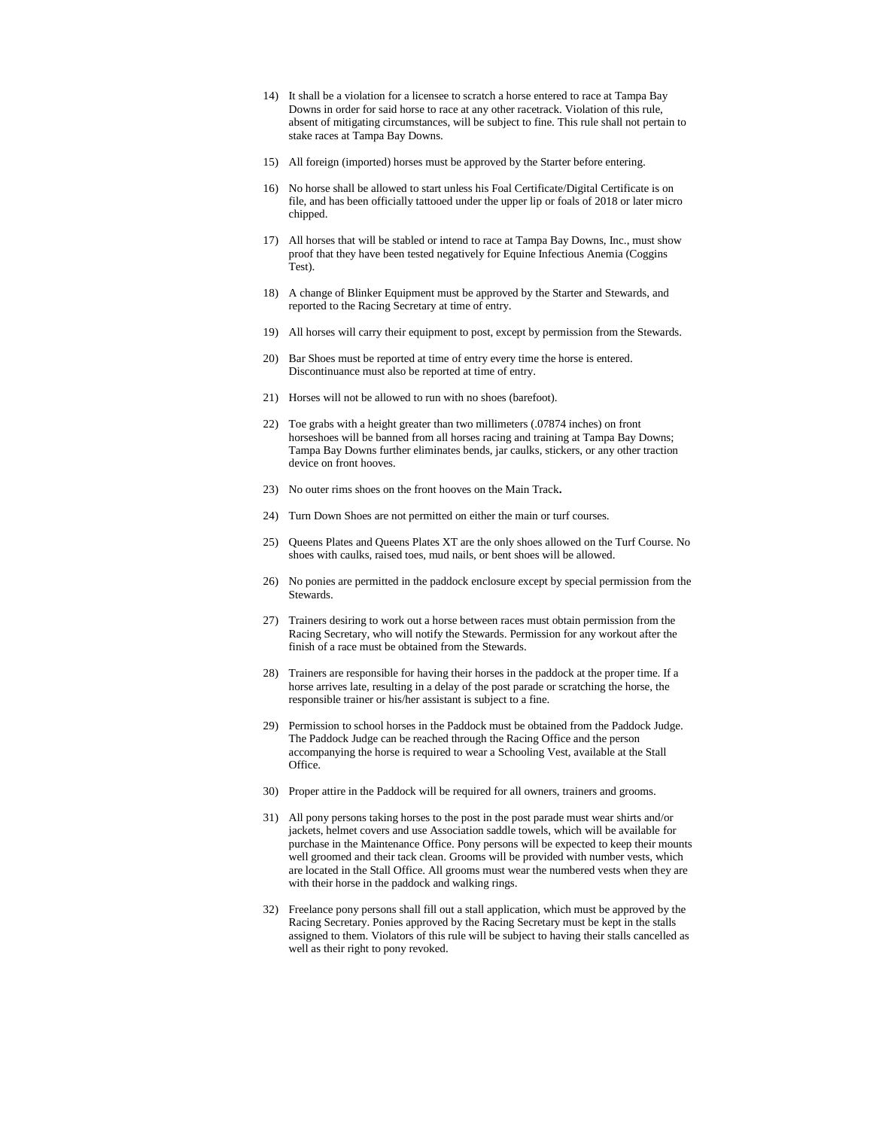- 14) It shall be a violation for a licensee to scratch a horse entered to race at Tampa Bay Downs in order for said horse to race at any other racetrack. Violation of this rule, absent of mitigating circumstances, will be subject to fine. This rule shall not pertain to stake races at Tampa Bay Downs.
- 15) All foreign (imported) horses must be approved by the Starter before entering.
- 16) No horse shall be allowed to start unless his Foal Certificate/Digital Certificate is on file, and has been officially tattooed under the upper lip or foals of 2018 or later micro chipped.
- 17) All horses that will be stabled or intend to race at Tampa Bay Downs, Inc., must show proof that they have been tested negatively for Equine Infectious Anemia (Coggins Test).
- 18) A change of Blinker Equipment must be approved by the Starter and Stewards, and reported to the Racing Secretary at time of entry.
- 19) All horses will carry their equipment to post, except by permission from the Stewards.
- 20) Bar Shoes must be reported at time of entry every time the horse is entered. Discontinuance must also be reported at time of entry.
- 21) Horses will not be allowed to run with no shoes (barefoot).
- 22) Toe grabs with a height greater than two millimeters (.07874 inches) on front horseshoes will be banned from all horses racing and training at Tampa Bay Downs; Tampa Bay Downs further eliminates bends, jar caulks, stickers, or any other traction device on front hooves.
- 23) No outer rims shoes on the front hooves on the Main Track**.**
- 24) Turn Down Shoes are not permitted on either the main or turf courses.
- 25) Queens Plates and Queens Plates XT are the only shoes allowed on the Turf Course. No shoes with caulks, raised toes, mud nails, or bent shoes will be allowed.
- 26) No ponies are permitted in the paddock enclosure except by special permission from the Stewards.
- 27) Trainers desiring to work out a horse between races must obtain permission from the Racing Secretary, who will notify the Stewards. Permission for any workout after the finish of a race must be obtained from the Stewards.
- 28) Trainers are responsible for having their horses in the paddock at the proper time. If a horse arrives late, resulting in a delay of the post parade or scratching the horse, the responsible trainer or his/her assistant is subject to a fine.
- 29) Permission to school horses in the Paddock must be obtained from the Paddock Judge. The Paddock Judge can be reached through the Racing Office and the person accompanying the horse is required to wear a Schooling Vest, available at the Stall Office.
- 30) Proper attire in the Paddock will be required for all owners, trainers and grooms.
- 31) All pony persons taking horses to the post in the post parade must wear shirts and/or jackets, helmet covers and use Association saddle towels, which will be available for purchase in the Maintenance Office. Pony persons will be expected to keep their mounts well groomed and their tack clean. Grooms will be provided with number vests, which are located in the Stall Office. All grooms must wear the numbered vests when they are with their horse in the paddock and walking rings.
- 32) Freelance pony persons shall fill out a stall application, which must be approved by the Racing Secretary. Ponies approved by the Racing Secretary must be kept in the stalls assigned to them. Violators of this rule will be subject to having their stalls cancelled as well as their right to pony revoked.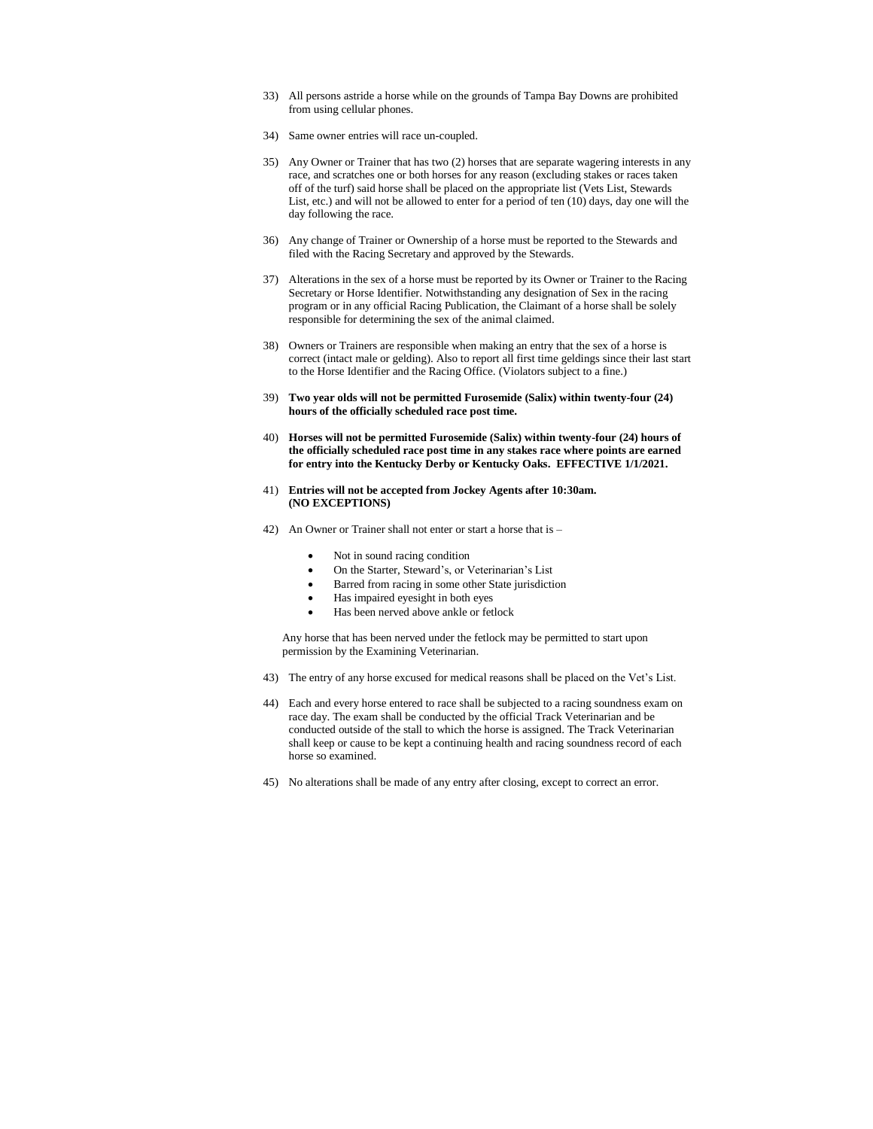- 33) All persons astride a horse while on the grounds of Tampa Bay Downs are prohibited from using cellular phones.
- 34) Same owner entries will race un-coupled.
- 35) Any Owner or Trainer that has two (2) horses that are separate wagering interests in any race, and scratches one or both horses for any reason (excluding stakes or races taken off of the turf) said horse shall be placed on the appropriate list (Vets List, Stewards List, etc.) and will not be allowed to enter for a period of ten (10) days, day one will the day following the race.
- 36) Any change of Trainer or Ownership of a horse must be reported to the Stewards and filed with the Racing Secretary and approved by the Stewards.
- 37) Alterations in the sex of a horse must be reported by its Owner or Trainer to the Racing Secretary or Horse Identifier. Notwithstanding any designation of Sex in the racing program or in any official Racing Publication, the Claimant of a horse shall be solely responsible for determining the sex of the animal claimed.
- 38) Owners or Trainers are responsible when making an entry that the sex of a horse is correct (intact male or gelding). Also to report all first time geldings since their last start to the Horse Identifier and the Racing Office. (Violators subject to a fine.)
- 39) **Two year olds will not be permitted Furosemide (Salix) within twenty-four (24) hours of the officially scheduled race post time.**
- 40) **Horses will not be permitted Furosemide (Salix) within twenty-four (24) hours of the officially scheduled race post time in any stakes race where points are earned for entry into the Kentucky Derby or Kentucky Oaks. EFFECTIVE 1/1/2021.**
- 41) **Entries will not be accepted from Jockey Agents after 10:30am. (NO EXCEPTIONS)**
- 42) An Owner or Trainer shall not enter or start a horse that is
	- Not in sound racing condition
	- On the Starter, Steward's, or Veterinarian's List
	- Barred from racing in some other State jurisdiction
	- Has impaired eyesight in both eyes
	- Has been nerved above ankle or fetlock

Any horse that has been nerved under the fetlock may be permitted to start upon permission by the Examining Veterinarian.

- 43) The entry of any horse excused for medical reasons shall be placed on the Vet's List.
- 44) Each and every horse entered to race shall be subjected to a racing soundness exam on race day. The exam shall be conducted by the official Track Veterinarian and be conducted outside of the stall to which the horse is assigned. The Track Veterinarian shall keep or cause to be kept a continuing health and racing soundness record of each horse so examined.
- 45) No alterations shall be made of any entry after closing, except to correct an error.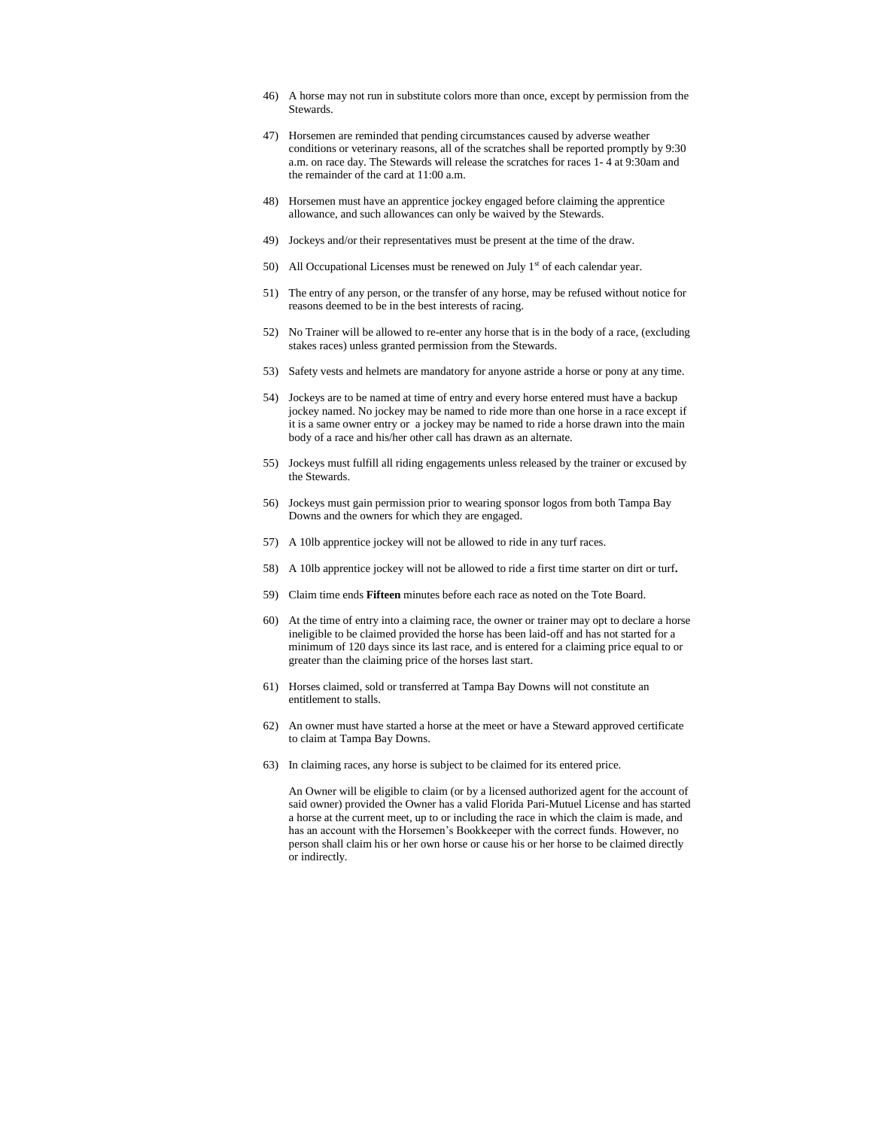- 46) A horse may not run in substitute colors more than once, except by permission from the Stewards.
- 47) Horsemen are reminded that pending circumstances caused by adverse weather conditions or veterinary reasons, all of the scratches shall be reported promptly by 9:30 a.m. on race day. The Stewards will release the scratches for races 1- 4 at 9:30am and the remainder of the card at 11:00 a.m.
- 48) Horsemen must have an apprentice jockey engaged before claiming the apprentice allowance, and such allowances can only be waived by the Stewards.
- 49) Jockeys and/or their representatives must be present at the time of the draw.
- 50) All Occupational Licenses must be renewed on July  $1<sup>st</sup>$  of each calendar year.
- 51) The entry of any person, or the transfer of any horse, may be refused without notice for reasons deemed to be in the best interests of racing.
- 52) No Trainer will be allowed to re-enter any horse that is in the body of a race, (excluding stakes races) unless granted permission from the Stewards.
- 53) Safety vests and helmets are mandatory for anyone astride a horse or pony at any time.
- 54) Jockeys are to be named at time of entry and every horse entered must have a backup jockey named. No jockey may be named to ride more than one horse in a race except if it is a same owner entry or a jockey may be named to ride a horse drawn into the main body of a race and his/her other call has drawn as an alternate.
- 55) Jockeys must fulfill all riding engagements unless released by the trainer or excused by the Stewards.
- 56) Jockeys must gain permission prior to wearing sponsor logos from both Tampa Bay Downs and the owners for which they are engaged.
- 57) A 10lb apprentice jockey will not be allowed to ride in any turf races.
- 58) A 10lb apprentice jockey will not be allowed to ride a first time starter on dirt or turf**.**
- 59) Claim time ends **Fifteen** minutes before each race as noted on the Tote Board.
- 60) At the time of entry into a claiming race, the owner or trainer may opt to declare a horse ineligible to be claimed provided the horse has been laid-off and has not started for a minimum of 120 days since its last race, and is entered for a claiming price equal to or greater than the claiming price of the horses last start.
- 61) Horses claimed, sold or transferred at Tampa Bay Downs will not constitute an entitlement to stalls.
- 62) An owner must have started a horse at the meet or have a Steward approved certificate to claim at Tampa Bay Downs.
- 63) In claiming races, any horse is subject to be claimed for its entered price.

An Owner will be eligible to claim (or by a licensed authorized agent for the account of said owner) provided the Owner has a valid Florida Pari-Mutuel License and has started a horse at the current meet, up to or including the race in which the claim is made, and has an account with the Horsemen's Bookkeeper with the correct funds. However, no person shall claim his or her own horse or cause his or her horse to be claimed directly or indirectly.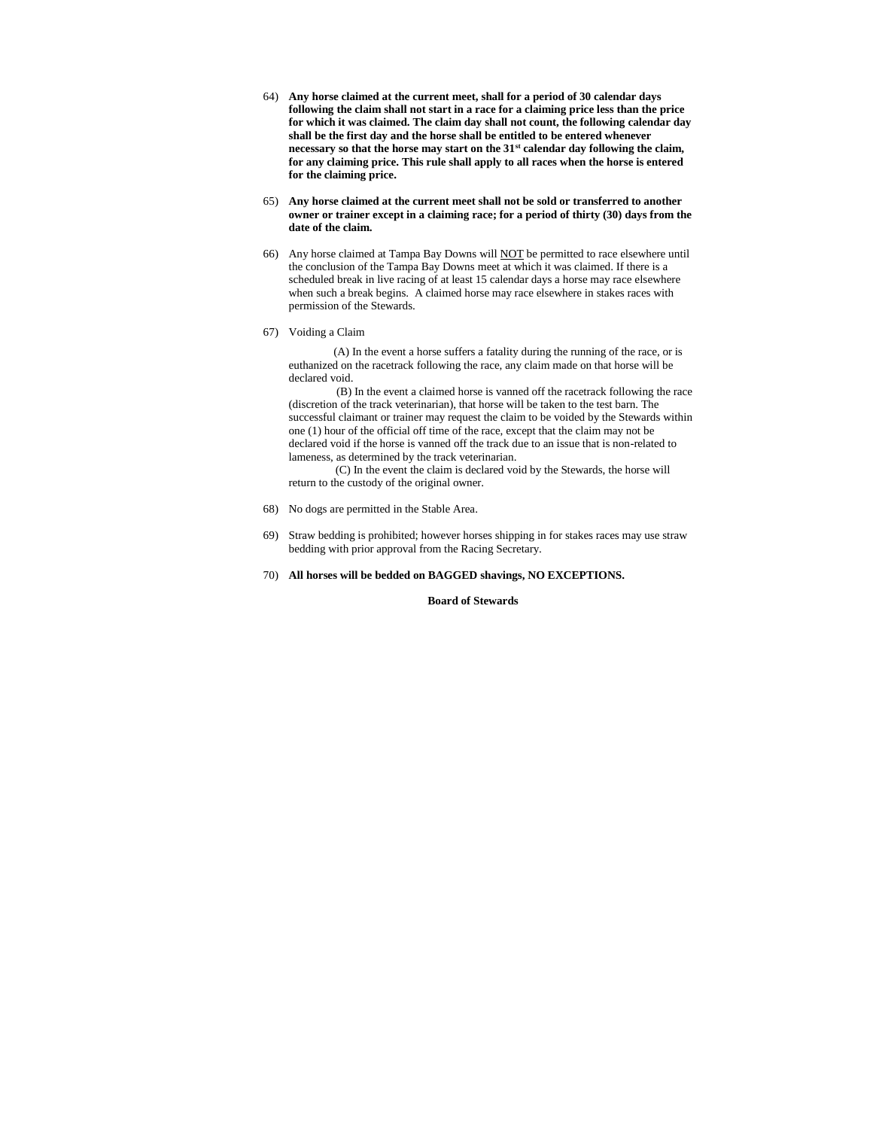- 64) **Any horse claimed at the current meet, shall for a period of 30 calendar days following the claim shall not start in a race for a claiming price less than the price for which it was claimed. The claim day shall not count, the following calendar day shall be the first day and the horse shall be entitled to be entered whenever necessary so that the horse may start on the 31st calendar day following the claim, for any claiming price. This rule shall apply to all races when the horse is entered for the claiming price.**
- 65) **Any horse claimed at the current meet shall not be sold or transferred to another owner or trainer except in a claiming race; for a period of thirty (30) days from the date of the claim.**
- 66) Any horse claimed at Tampa Bay Downs will NOT be permitted to race elsewhere until the conclusion of the Tampa Bay Downs meet at which it was claimed. If there is a scheduled break in live racing of at least 15 calendar days a horse may race elsewhere when such a break begins. A claimed horse may race elsewhere in stakes races with permission of the Stewards.
- 67) Voiding a Claim

(A) In the event a horse suffers a fatality during the running of the race, or is euthanized on the racetrack following the race, any claim made on that horse will be declared void.

(B) In the event a claimed horse is vanned off the racetrack following the race (discretion of the track veterinarian), that horse will be taken to the test barn. The successful claimant or trainer may request the claim to be voided by the Stewards within one (1) hour of the official off time of the race, except that the claim may not be declared void if the horse is vanned off the track due to an issue that is non-related to lameness, as determined by the track veterinarian.

( (C) In the event the claim is declared void by the Stewards, the horse will return to the custody of the original owner.

- 68) No dogs are permitted in the Stable Area.
- 69) Straw bedding is prohibited; however horses shipping in for stakes races may use straw bedding with prior approval from the Racing Secretary.
- 70) **All horses will be bedded on BAGGED shavings, NO EXCEPTIONS.**

 **Board of Stewards**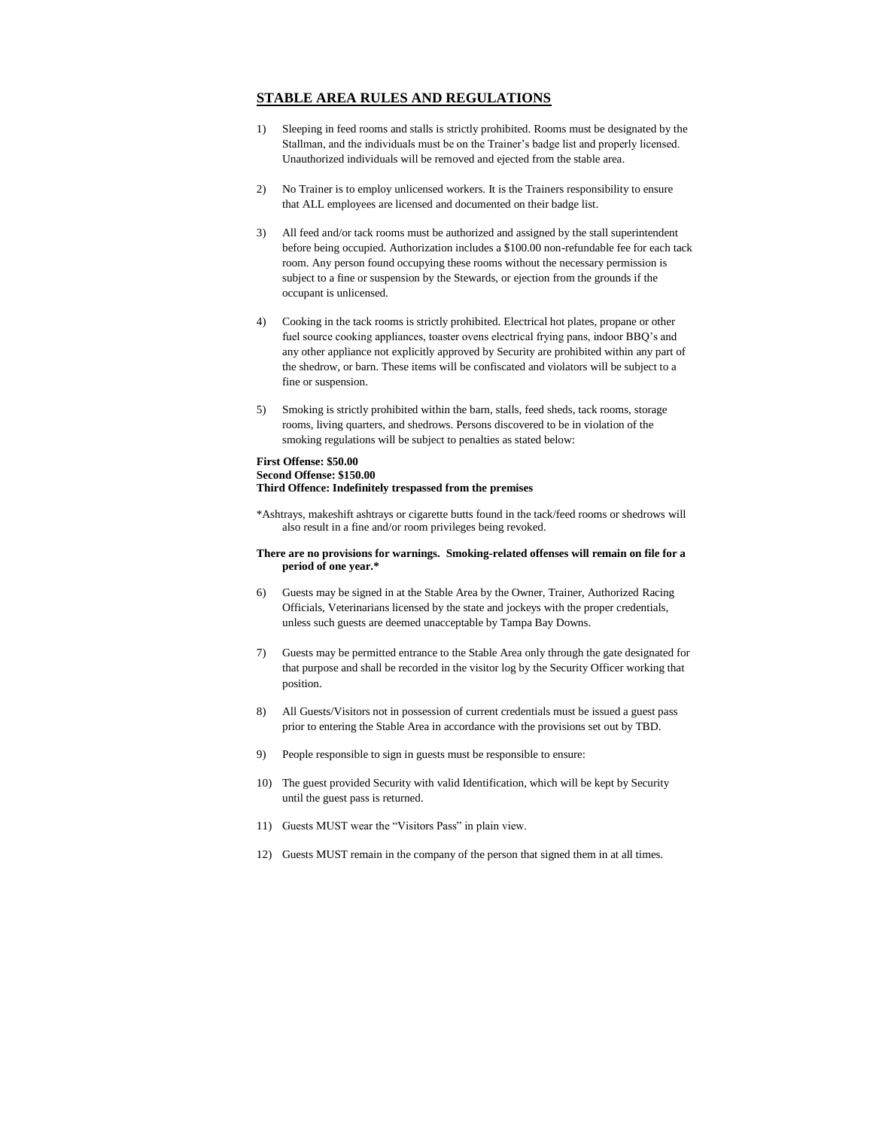# **STABLE AREA RULES AND REGULATIONS**

- 1) Sleeping in feed rooms and stalls is strictly prohibited. Rooms must be designated by the Stallman, and the individuals must be on the Trainer's badge list and properly licensed. Unauthorized individuals will be removed and ejected from the stable area.
- 2) No Trainer is to employ unlicensed workers. It is the Trainers responsibility to ensure that ALL employees are licensed and documented on their badge list.
- 3) All feed and/or tack rooms must be authorized and assigned by the stall superintendent before being occupied. Authorization includes a \$100.00 non-refundable fee for each tack room. Any person found occupying these rooms without the necessary permission is subject to a fine or suspension by the Stewards, or ejection from the grounds if the occupant is unlicensed.
- 4) Cooking in the tack rooms is strictly prohibited. Electrical hot plates, propane or other fuel source cooking appliances, toaster ovens electrical frying pans, indoor BBQ's and any other appliance not explicitly approved by Security are prohibited within any part of the shedrow, or barn. These items will be confiscated and violators will be subject to a fine or suspension.
- 5) Smoking is strictly prohibited within the barn, stalls, feed sheds, tack rooms, storage rooms, living quarters, and shedrows. Persons discovered to be in violation of the smoking regulations will be subject to penalties as stated below:

#### **First Offense: \$50.00 Second Offense: \$150.00 Third Offence: Indefinitely trespassed from the premises**

\*Ashtrays, makeshift ashtrays or cigarette butts found in the tack/feed rooms or shedrows will also result in a fine and/or room privileges being revoked.

#### **There are no provisions for warnings. Smoking-related offenses will remain on file for a period of one year.\***

- 6) Guests may be signed in at the Stable Area by the Owner, Trainer, Authorized Racing Officials, Veterinarians licensed by the state and jockeys with the proper credentials, unless such guests are deemed unacceptable by Tampa Bay Downs.
- 7) Guests may be permitted entrance to the Stable Area only through the gate designated for that purpose and shall be recorded in the visitor log by the Security Officer working that position.
- 8) All Guests/Visitors not in possession of current credentials must be issued a guest pass prior to entering the Stable Area in accordance with the provisions set out by TBD.
- 9) People responsible to sign in guests must be responsible to ensure:
- 10) The guest provided Security with valid Identification, which will be kept by Security until the guest pass is returned.
- 11) Guests MUST wear the "Visitors Pass" in plain view.
- 12) Guests MUST remain in the company of the person that signed them in at all times.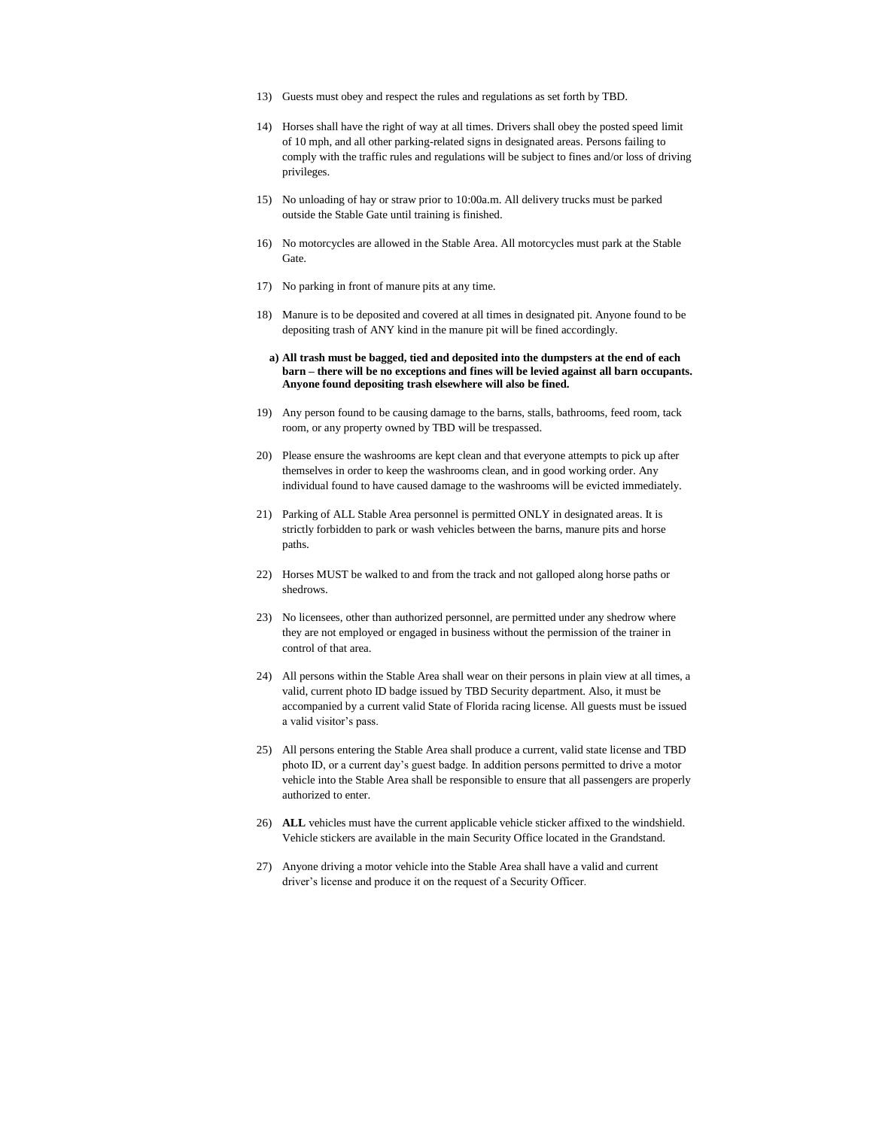- 13) Guests must obey and respect the rules and regulations as set forth by TBD.
- 14) Horses shall have the right of way at all times. Drivers shall obey the posted speed limit of 10 mph, and all other parking-related signs in designated areas. Persons failing to comply with the traffic rules and regulations will be subject to fines and/or loss of driving privileges.
- 15) No unloading of hay or straw prior to 10:00a.m. All delivery trucks must be parked outside the Stable Gate until training is finished.
- 16) No motorcycles are allowed in the Stable Area. All motorcycles must park at the Stable Gate.
- 17) No parking in front of manure pits at any time.
- 18) Manure is to be deposited and covered at all times in designated pit. Anyone found to be depositing trash of ANY kind in the manure pit will be fined accordingly.
	- **a) All trash must be bagged, tied and deposited into the dumpsters at the end of each barn – there will be no exceptions and fines will be levied against all barn occupants. Anyone found depositing trash elsewhere will also be fined.**
- 19) Any person found to be causing damage to the barns, stalls, bathrooms, feed room, tack room, or any property owned by TBD will be trespassed.
- 20) Please ensure the washrooms are kept clean and that everyone attempts to pick up after themselves in order to keep the washrooms clean, and in good working order. Any individual found to have caused damage to the washrooms will be evicted immediately.
- 21) Parking of ALL Stable Area personnel is permitted ONLY in designated areas. It is strictly forbidden to park or wash vehicles between the barns, manure pits and horse paths.
- 22) Horses MUST be walked to and from the track and not galloped along horse paths or shedrows.
- 23) No licensees, other than authorized personnel, are permitted under any shedrow where they are not employed or engaged in business without the permission of the trainer in control of that area.
- 24) All persons within the Stable Area shall wear on their persons in plain view at all times, a valid, current photo ID badge issued by TBD Security department. Also, it must be accompanied by a current valid State of Florida racing license. All guests must be issued a valid visitor's pass.
- 25) All persons entering the Stable Area shall produce a current, valid state license and TBD photo ID, or a current day's guest badge. In addition persons permitted to drive a motor vehicle into the Stable Area shall be responsible to ensure that all passengers are properly authorized to enter.
- 26) **ALL** vehicles must have the current applicable vehicle sticker affixed to the windshield. Vehicle stickers are available in the main Security Office located in the Grandstand.
- 27) Anyone driving a motor vehicle into the Stable Area shall have a valid and current driver's license and produce it on the request of a Security Officer.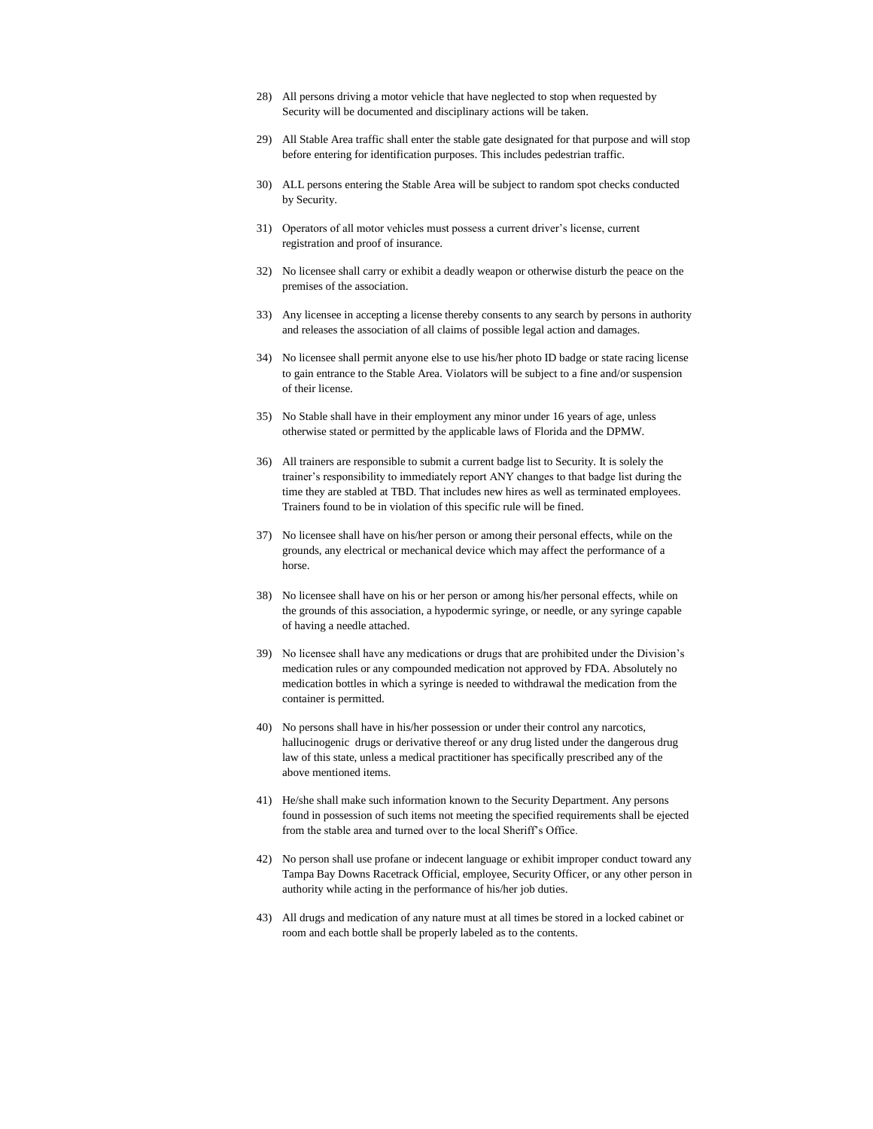- 28) All persons driving a motor vehicle that have neglected to stop when requested by Security will be documented and disciplinary actions will be taken.
- 29) All Stable Area traffic shall enter the stable gate designated for that purpose and will stop before entering for identification purposes. This includes pedestrian traffic.
- 30) ALL persons entering the Stable Area will be subject to random spot checks conducted by Security.
- 31) Operators of all motor vehicles must possess a current driver's license, current registration and proof of insurance.
- 32) No licensee shall carry or exhibit a deadly weapon or otherwise disturb the peace on the premises of the association.
- 33) Any licensee in accepting a license thereby consents to any search by persons in authority and releases the association of all claims of possible legal action and damages.
- 34) No licensee shall permit anyone else to use his/her photo ID badge or state racing license to gain entrance to the Stable Area. Violators will be subject to a fine and/or suspension of their license.
- 35) No Stable shall have in their employment any minor under 16 years of age, unless otherwise stated or permitted by the applicable laws of Florida and the DPMW.
- 36) All trainers are responsible to submit a current badge list to Security. It is solely the trainer's responsibility to immediately report ANY changes to that badge list during the time they are stabled at TBD. That includes new hires as well as terminated employees. Trainers found to be in violation of this specific rule will be fined.
- 37) No licensee shall have on his/her person or among their personal effects, while on the grounds, any electrical or mechanical device which may affect the performance of a horse.
- 38) No licensee shall have on his or her person or among his/her personal effects, while on the grounds of this association, a hypodermic syringe, or needle, or any syringe capable of having a needle attached.
- 39) No licensee shall have any medications or drugs that are prohibited under the Division's medication rules or any compounded medication not approved by FDA. Absolutely no medication bottles in which a syringe is needed to withdrawal the medication from the container is permitted.
- 40) No persons shall have in his/her possession or under their control any narcotics, hallucinogenic drugs or derivative thereof or any drug listed under the dangerous drug law of this state, unless a medical practitioner has specifically prescribed any of the above mentioned items.
- 41) He/she shall make such information known to the Security Department. Any persons found in possession of such items not meeting the specified requirements shall be ejected from the stable area and turned over to the local Sheriff's Office.
- 42) No person shall use profane or indecent language or exhibit improper conduct toward any Tampa Bay Downs Racetrack Official, employee, Security Officer, or any other person in authority while acting in the performance of his/her job duties.
- 43) All drugs and medication of any nature must at all times be stored in a locked cabinet or room and each bottle shall be properly labeled as to the contents.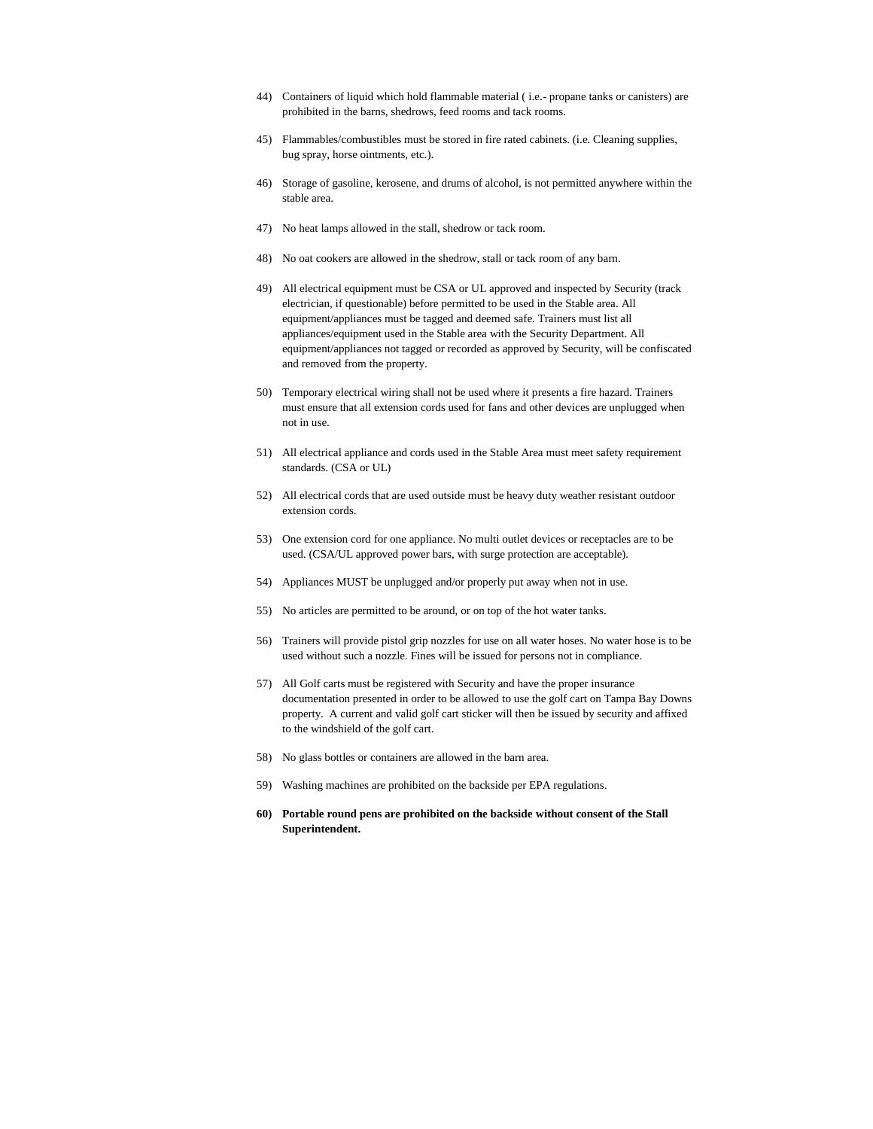- 44) Containers of liquid which hold flammable material ( i.e.- propane tanks or canisters) are prohibited in the barns, shedrows, feed rooms and tack rooms.
- 45) Flammables/combustibles must be stored in fire rated cabinets. (i.e. Cleaning supplies, bug spray, horse ointments, etc.).
- 46) Storage of gasoline, kerosene, and drums of alcohol, is not permitted anywhere within the stable area.
- 47) No heat lamps allowed in the stall, shedrow or tack room.
- 48) No oat cookers are allowed in the shedrow, stall or tack room of any barn.
- 49) All electrical equipment must be CSA or UL approved and inspected by Security (track electrician, if questionable) before permitted to be used in the Stable area. All equipment/appliances must be tagged and deemed safe. Trainers must list all appliances/equipment used in the Stable area with the Security Department. All equipment/appliances not tagged or recorded as approved by Security, will be confiscated and removed from the property.
- 50) Temporary electrical wiring shall not be used where it presents a fire hazard. Trainers must ensure that all extension cords used for fans and other devices are unplugged when not in use.
- 51) All electrical appliance and cords used in the Stable Area must meet safety requirement standards. (CSA or UL)
- 52) All electrical cords that are used outside must be heavy duty weather resistant outdoor extension cords.
- 53) One extension cord for one appliance. No multi outlet devices or receptacles are to be used. (CSA/UL approved power bars, with surge protection are acceptable).
- 54) Appliances MUST be unplugged and/or properly put away when not in use.
- 55) No articles are permitted to be around, or on top of the hot water tanks.
- 56) Trainers will provide pistol grip nozzles for use on all water hoses. No water hose is to be used without such a nozzle. Fines will be issued for persons not in compliance.
- 57) All Golf carts must be registered with Security and have the proper insurance documentation presented in order to be allowed to use the golf cart on Tampa Bay Downs property. A current and valid golf cart sticker will then be issued by security and affixed to the windshield of the golf cart.
- 58) No glass bottles or containers are allowed in the barn area.
- 59) Washing machines are prohibited on the backside per EPA regulations.
- **60) Portable round pens are prohibited on the backside without consent of the Stall Superintendent.**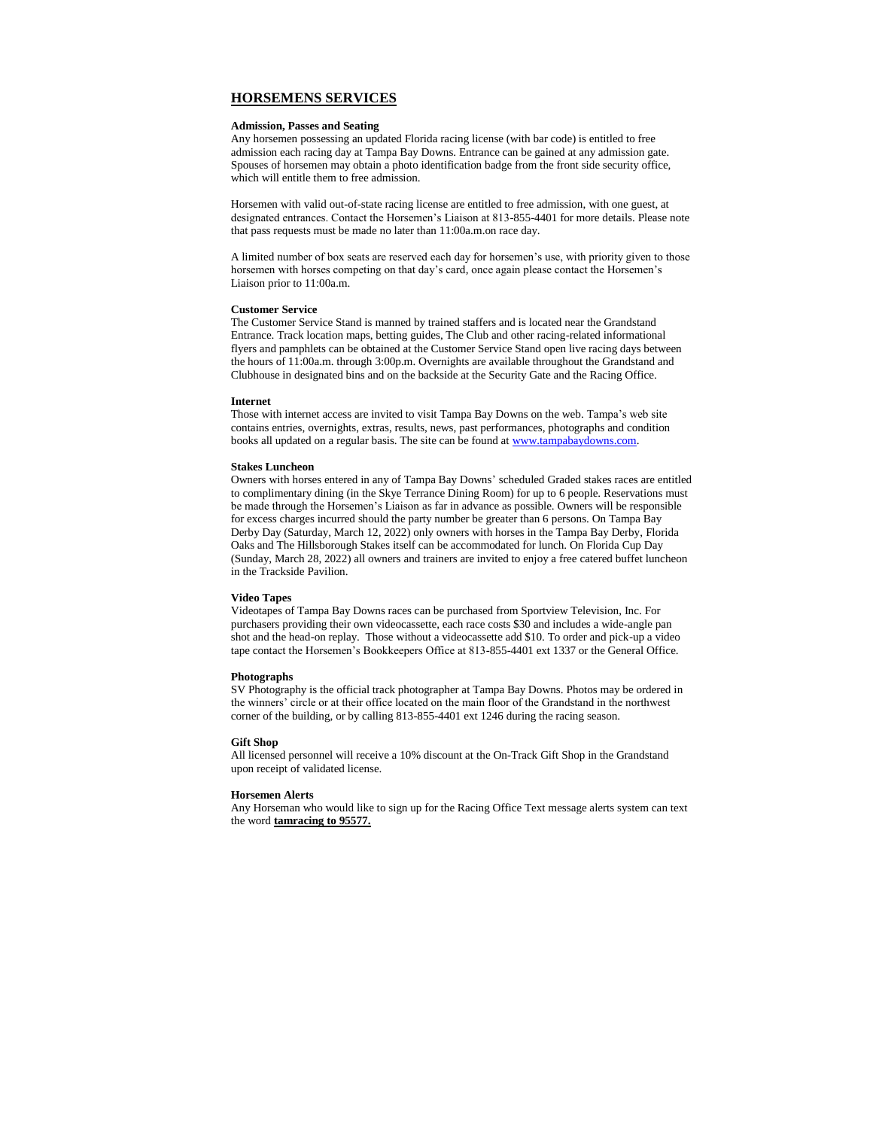#### **HORSEMENS SERVICES**

#### **Admission, Passes and Seating**

Any horsemen possessing an updated Florida racing license (with bar code) is entitled to free admission each racing day at Tampa Bay Downs. Entrance can be gained at any admission gate. Spouses of horsemen may obtain a photo identification badge from the front side security office, which will entitle them to free admission.

Horsemen with valid out-of-state racing license are entitled to free admission, with one guest, at designated entrances. Contact the Horsemen's Liaison at 813-855-4401 for more details. Please note that pass requests must be made no later than 11:00a.m.on race day.

A limited number of box seats are reserved each day for horsemen's use, with priority given to those horsemen with horses competing on that day's card, once again please contact the Horsemen's Liaison prior to 11:00a.m.

#### **Customer Service**

The Customer Service Stand is manned by trained staffers and is located near the Grandstand Entrance. Track location maps, betting guides, The Club and other racing-related informational flyers and pamphlets can be obtained at the Customer Service Stand open live racing days between the hours of 11:00a.m. through 3:00p.m. Overnights are available throughout the Grandstand and Clubhouse in designated bins and on the backside at the Security Gate and the Racing Office.

#### **Internet**

Those with internet access are invited to visit Tampa Bay Downs on the web. Tampa's web site contains entries, overnights, extras, results, news, past performances, photographs and condition books all updated on a regular basis. The site can be found a[t www.tampabaydowns.com.](http://www.tampabaydowns.com/)

#### **Stakes Luncheon**

Owners with horses entered in any of Tampa Bay Downs' scheduled Graded stakes races are entitled to complimentary dining (in the Skye Terrance Dining Room) for up to 6 people. Reservations must be made through the Horsemen's Liaison as far in advance as possible. Owners will be responsible for excess charges incurred should the party number be greater than 6 persons. On Tampa Bay Derby Day (Saturday, March 12, 2022) only owners with horses in the Tampa Bay Derby, Florida Oaks and The Hillsborough Stakes itself can be accommodated for lunch. On Florida Cup Day (Sunday, March 28, 2022) all owners and trainers are invited to enjoy a free catered buffet luncheon in the Trackside Pavilion.

#### **Video Tapes**

Videotapes of Tampa Bay Downs races can be purchased from Sportview Television, Inc. For purchasers providing their own videocassette, each race costs \$30 and includes a wide-angle pan shot and the head-on replay. Those without a videocassette add \$10. To order and pick-up a video tape contact the Horsemen's Bookkeepers Office at 813-855-4401 ext 1337 or the General Office.

#### **Photographs**

SV Photography is the official track photographer at Tampa Bay Downs. Photos may be ordered in the winners' circle or at their office located on the main floor of the Grandstand in the northwest corner of the building, or by calling 813-855-4401 ext 1246 during the racing season.

#### **Gift Shop**

All licensed personnel will receive a 10% discount at the On-Track Gift Shop in the Grandstand upon receipt of validated license.

#### **Horsemen Alerts**

Any Horseman who would like to sign up for the Racing Office Text message alerts system can text the word **tamracing to 95577.**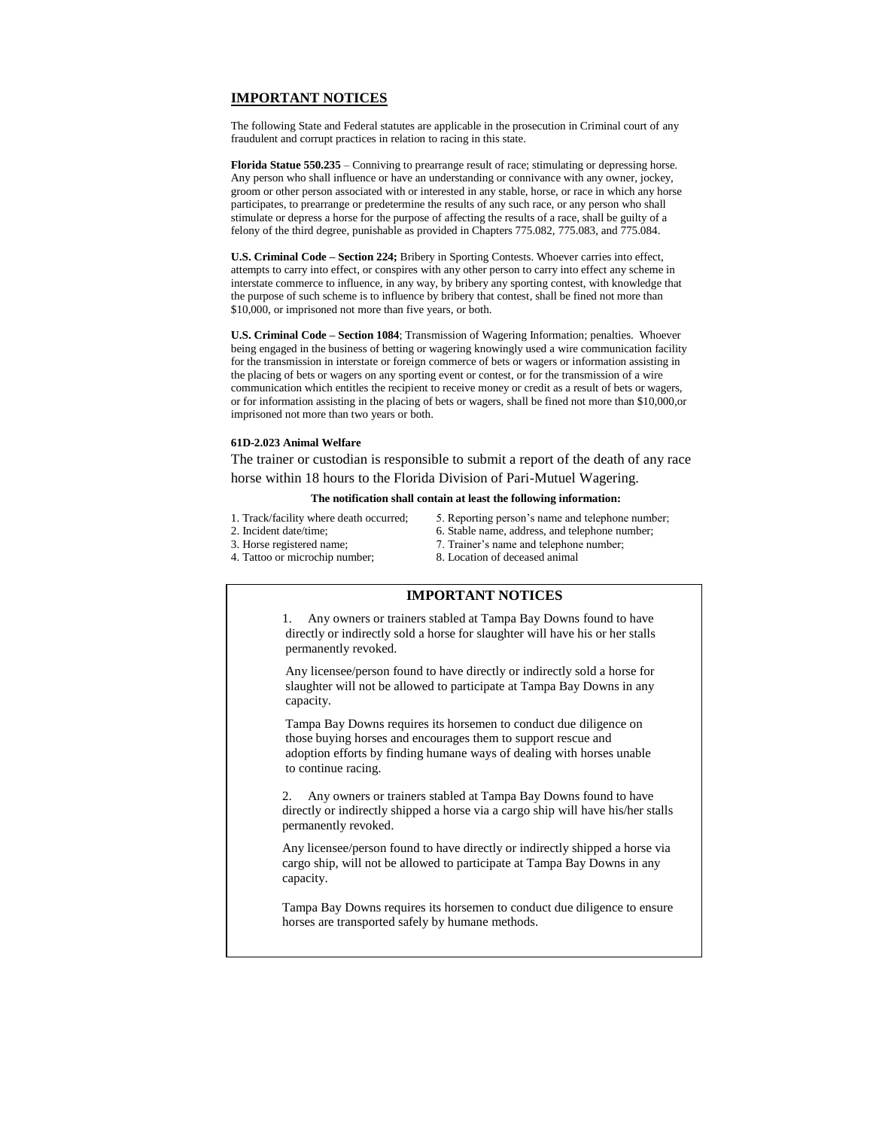# **IMPORTANT NOTICES**

The following State and Federal statutes are applicable in the prosecution in Criminal court of any fraudulent and corrupt practices in relation to racing in this state.

**Florida Statue 550.235** – Conniving to prearrange result of race; stimulating or depressing horse. Any person who shall influence or have an understanding or connivance with any owner, jockey, groom or other person associated with or interested in any stable, horse, or race in which any horse participates, to prearrange or predetermine the results of any such race, or any person who shall stimulate or depress a horse for the purpose of affecting the results of a race, shall be guilty of a felony of the third degree, punishable as provided in Chapters 775.082, 775.083, and 775.084.

**U.S. Criminal Code – Section 224;** Bribery in Sporting Contests. Whoever carries into effect, attempts to carry into effect, or conspires with any other person to carry into effect any scheme in interstate commerce to influence, in any way, by bribery any sporting contest, with knowledge that the purpose of such scheme is to influence by bribery that contest, shall be fined not more than \$10,000, or imprisoned not more than five years, or both.

**U.S. Criminal Code – Section 1084**; Transmission of Wagering Information; penalties. Whoever being engaged in the business of betting or wagering knowingly used a wire communication facility for the transmission in interstate or foreign commerce of bets or wagers or information assisting in the placing of bets or wagers on any sporting event or contest, or for the transmission of a wire communication which entitles the recipient to receive money or credit as a result of bets or wagers, or for information assisting in the placing of bets or wagers, shall be fined not more than \$10,000,or imprisoned not more than two years or both.

#### **61D-2.023 Animal Welfare**

The trainer or custodian is responsible to submit a report of the death of any race horse within 18 hours to the Florida Division of Pari-Mutuel Wagering.

#### **The notification shall contain at least the following information:**

- 
- 
- 1. Track/facility where death occurred; 5. Reporting person's name and telephone number; 2. Incident date/time; 6. Stable name, address, and telephone number; 6. Stable name, address, and telephone number;
	-
- 
- 
- 3. Horse registered name; 7. Trainer's name and telephone number;
- 4. Tattoo or microchip number; 8. Location of deceased animal

# **IMPORTANT NOTICES**

1. Any owners or trainers stabled at Tampa Bay Downs found to have directly or indirectly sold a horse for slaughter will have his or her stalls permanently revoked.

Any licensee/person found to have directly or indirectly sold a horse for slaughter will not be allowed to participate at Tampa Bay Downs in any capacity.

Tampa Bay Downs requires its horsemen to conduct due diligence on those buying horses and encourages them to support rescue and adoption efforts by finding humane ways of dealing with horses unable to continue racing.

2. Any owners or trainers stabled at Tampa Bay Downs found to have directly or indirectly shipped a horse via a cargo ship will have his/her stalls permanently revoked.

Any licensee/person found to have directly or indirectly shipped a horse via cargo ship, will not be allowed to participate at Tampa Bay Downs in any capacity.

Tampa Bay Downs requires its horsemen to conduct due diligence to ensure horses are transported safely by humane methods.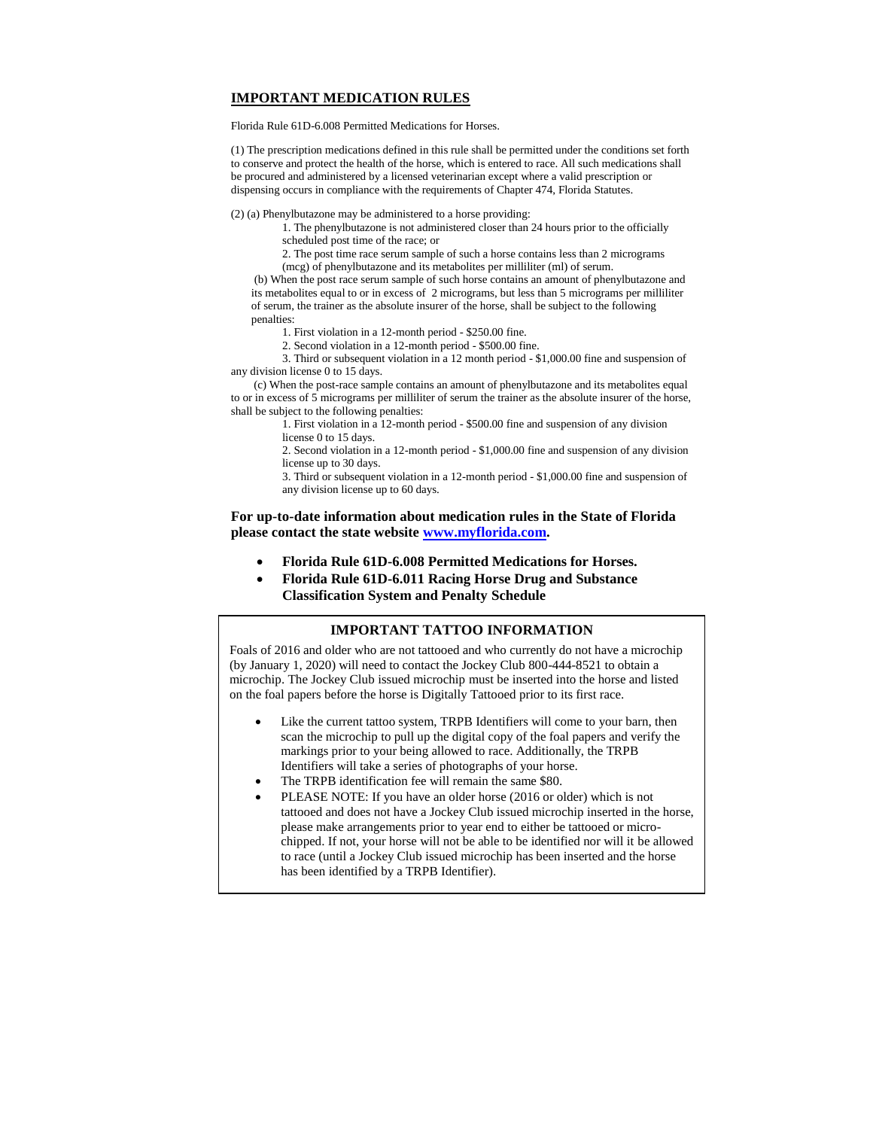# **IMPORTANT MEDICATION RULES**

Florida Rule 61D-6.008 Permitted Medications for Horses.

(1) The prescription medications defined in this rule shall be permitted under the conditions set forth to conserve and protect the health of the horse, which is entered to race. All such medications shall be procured and administered by a licensed veterinarian except where a valid prescription or dispensing occurs in compliance with the requirements of Chapter 474, Florida Statutes.

(2) (a) Phenylbutazone may be administered to a horse providing:

- 1. The phenylbutazone is not administered closer than 24 hours prior to the officially scheduled post time of the race; or
	- 2. The post time race serum sample of such a horse contains less than 2 micrograms
	- (mcg) of phenylbutazone and its metabolites per milliliter (ml) of serum.

(b) When the post race serum sample of such horse contains an amount of phenylbutazone and its metabolites equal to or in excess of 2 micrograms, but less than 5 micrograms per milliliter of serum, the trainer as the absolute insurer of the horse, shall be subject to the following penalties:

- 1. First violation in a 12-month period \$250.00 fine.
- 2. Second violation in a 12-month period \$500.00 fine.

3. Third or subsequent violation in a 12 month period - \$1,000.00 fine and suspension of any division license 0 to 15 days.

 (c) When the post-race sample contains an amount of phenylbutazone and its metabolites equal to or in excess of 5 micrograms per milliliter of serum the trainer as the absolute insurer of the horse, shall be subject to the following penalties:

1. First violation in a 12-month period - \$500.00 fine and suspension of any division license 0 to 15 days.

2. Second violation in a 12-month period - \$1,000.00 fine and suspension of any division license up to 30 days.

3. Third or subsequent violation in a 12-month period - \$1,000.00 fine and suspension of any division license up to 60 days.

**For up-to-date information about medication rules in the State of Florida please contact the state websit[e www.myflorida.com.](http://www.myflorida.com/)**

- **Florida Rule 61D-6.008 Permitted Medications for Horses.**
- **Florida Rule 61D-6.011 Racing Horse Drug and Substance Classification System and Penalty Schedule**

# **IMPORTANT TATTOO INFORMATION**

Foals of 2016 and older who are not tattooed and who currently do not have a microchip (by January 1, 2020) will need to contact the Jockey Club 800-444-8521 to obtain a microchip. The Jockey Club issued microchip must be inserted into the horse and listed on the foal papers before the horse is Digitally Tattooed prior to its first race.

- Like the current tattoo system, TRPB Identifiers will come to your barn, then scan the microchip to pull up the digital copy of the foal papers and verify the markings prior to your being allowed to race. Additionally, the TRPB Identifiers will take a series of photographs of your horse.
- The TRPB identification fee will remain the same \$80.
- PLEASE NOTE: If you have an older horse (2016 or older) which is not tattooed and does not have a Jockey Club issued microchip inserted in the horse, please make arrangements prior to year end to either be tattooed or microchipped. If not, your horse will not be able to be identified nor will it be allowed to race (until a Jockey Club issued microchip has been inserted and the horse has been identified by a TRPB Identifier).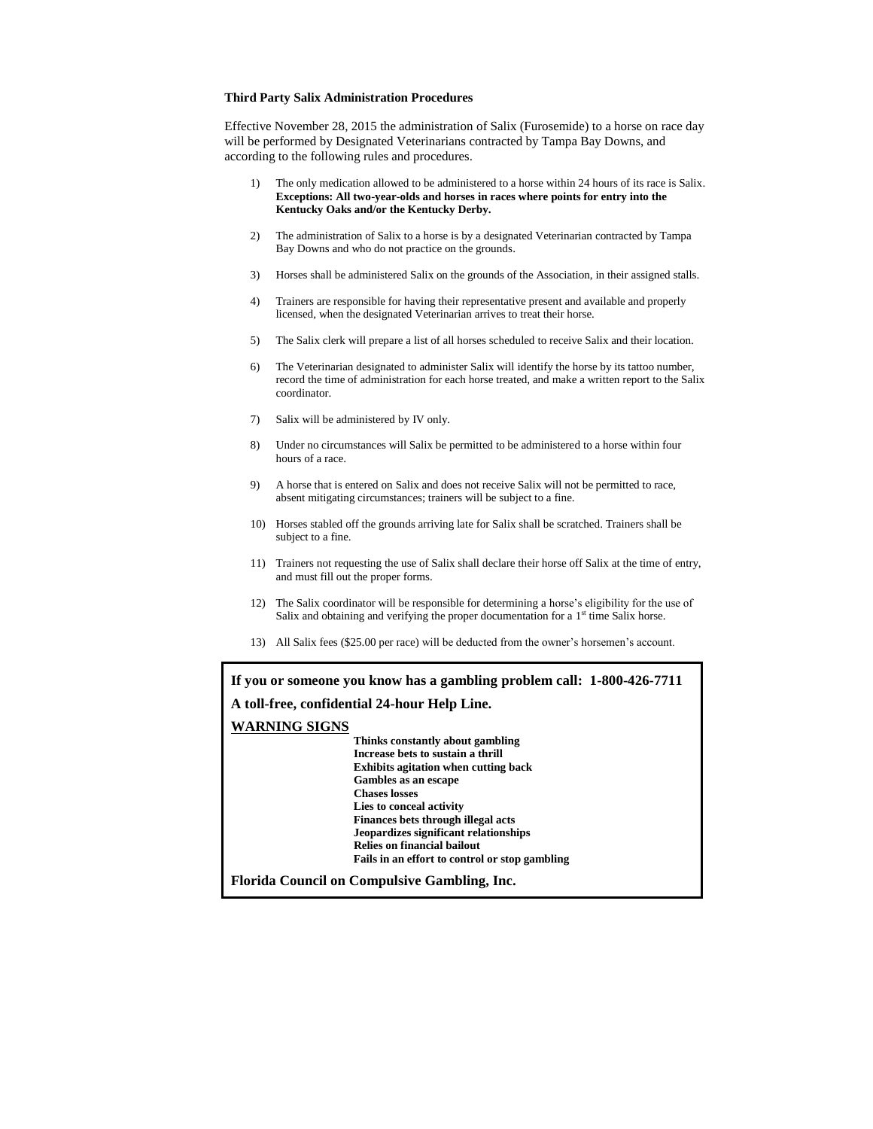#### **Third Party Salix Administration Procedures**

Effective November 28, 2015 the administration of Salix (Furosemide) to a horse on race day will be performed by Designated Veterinarians contracted by Tampa Bay Downs, and according to the following rules and procedures.

- 1) The only medication allowed to be administered to a horse within 24 hours of its race is Salix. **Exceptions: All two-year-olds and horses in races where points for entry into the Kentucky Oaks and/or the Kentucky Derby.**
- 2) The administration of Salix to a horse is by a designated Veterinarian contracted by Tampa Bay Downs and who do not practice on the grounds.
- 3) Horses shall be administered Salix on the grounds of the Association, in their assigned stalls.
- 4) Trainers are responsible for having their representative present and available and properly licensed, when the designated Veterinarian arrives to treat their horse.
- 5) The Salix clerk will prepare a list of all horses scheduled to receive Salix and their location.
- 6) The Veterinarian designated to administer Salix will identify the horse by its tattoo number, record the time of administration for each horse treated, and make a written report to the Salix coordinator.
- 7) Salix will be administered by IV only.
- 8) Under no circumstances will Salix be permitted to be administered to a horse within four hours of a race.
- 9) A horse that is entered on Salix and does not receive Salix will not be permitted to race, absent mitigating circumstances; trainers will be subject to a fine.
- 10) Horses stabled off the grounds arriving late for Salix shall be scratched. Trainers shall be subject to a fine.
- 11) Trainers not requesting the use of Salix shall declare their horse off Salix at the time of entry, and must fill out the proper forms.
- 12) The Salix coordinator will be responsible for determining a horse's eligibility for the use of Salix and obtaining and verifying the proper documentation for a  $1<sup>st</sup>$  time Salix horse.
- 13) All Salix fees (\$25.00 per race) will be deducted from the owner's horsemen's account.

**If you or someone you know has a gambling problem call: 1-800-426-7711 A toll-free, confidential 24-hour Help Line. WARNING SIGNS Thinks constantly about gambling Increase bets to sustain a thrill Exhibits agitation when cutting back Gambles as an escape Chases losses Lies to conceal activity Finances bets through illegal acts Jeopardizes significant relationships Relies on financial bailout Fails in an effort to control or stop gambling Florida Council on Compulsive Gambling, Inc.**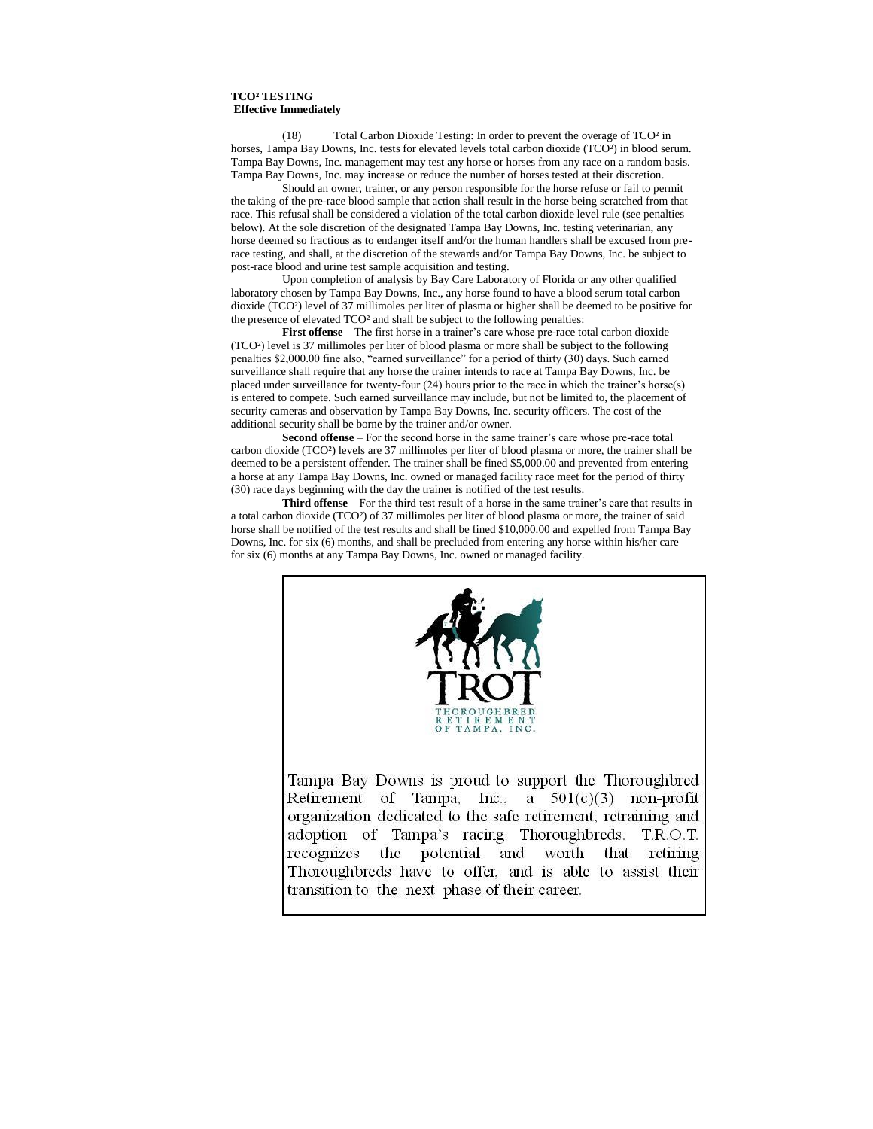#### **TCO² TESTING Effective Immediately**

Total Carbon Dioxide Testing: In order to prevent the overage of TCO<sup>2</sup> in horses, Tampa Bay Downs, Inc. tests for elevated levels total carbon dioxide (TCO<sup>2</sup>) in blood serum. Tampa Bay Downs, Inc. management may test any horse or horses from any race on a random basis. Tampa Bay Downs, Inc. may increase or reduce the number of horses tested at their discretion.

Should an owner, trainer, or any person responsible for the horse refuse or fail to permit the taking of the pre-race blood sample that action shall result in the horse being scratched from that race. This refusal shall be considered a violation of the total carbon dioxide level rule (see penalties below). At the sole discretion of the designated Tampa Bay Downs, Inc. testing veterinarian, any horse deemed so fractious as to endanger itself and/or the human handlers shall be excused from prerace testing, and shall, at the discretion of the stewards and/or Tampa Bay Downs, Inc. be subject to post-race blood and urine test sample acquisition and testing.

Upon completion of analysis by Bay Care Laboratory of Florida or any other qualified laboratory chosen by Tampa Bay Downs, Inc., any horse found to have a blood serum total carbon dioxide (TCO²) level of 37 millimoles per liter of plasma or higher shall be deemed to be positive for the presence of elevated TCO² and shall be subject to the following penalties:

**First offense** – The first horse in a trainer's care whose pre-race total carbon dioxide (TCO²) level is 37 millimoles per liter of blood plasma or more shall be subject to the following penalties \$2,000.00 fine also, "earned surveillance" for a period of thirty (30) days. Such earned surveillance shall require that any horse the trainer intends to race at Tampa Bay Downs, Inc. be placed under surveillance for twenty-four (24) hours prior to the race in which the trainer's horse(s) is entered to compete. Such earned surveillance may include, but not be limited to, the placement of security cameras and observation by Tampa Bay Downs, Inc. security officers. The cost of the additional security shall be borne by the trainer and/or owner.

**Second offense** – For the second horse in the same trainer's care whose pre-race total carbon dioxide (TCO²) levels are 37 millimoles per liter of blood plasma or more, the trainer shall be deemed to be a persistent offender. The trainer shall be fined \$5,000.00 and prevented from entering a horse at any Tampa Bay Downs, Inc. owned or managed facility race meet for the period of thirty (30) race days beginning with the day the trainer is notified of the test results.

**Third offense** – For the third test result of a horse in the same trainer's care that results in a total carbon dioxide (TCO²) of 37 millimoles per liter of blood plasma or more, the trainer of said horse shall be notified of the test results and shall be fined \$10,000.00 and expelled from Tampa Bay Downs, Inc. for six (6) months, and shall be precluded from entering any horse within his/her care for six (6) months at any Tampa Bay Downs, Inc. owned or managed facility.



Retirement of Tampa, Inc., a  $501(c)(3)$  non-profit organization dedicated to the safe retirement, retraining and adoption of Tampa's racing Thoroughbreds. T.R.O.T. recognizes the potential and worth that retiring Thoroughbreds have to offer, and is able to assist their transition to the next phase of their career.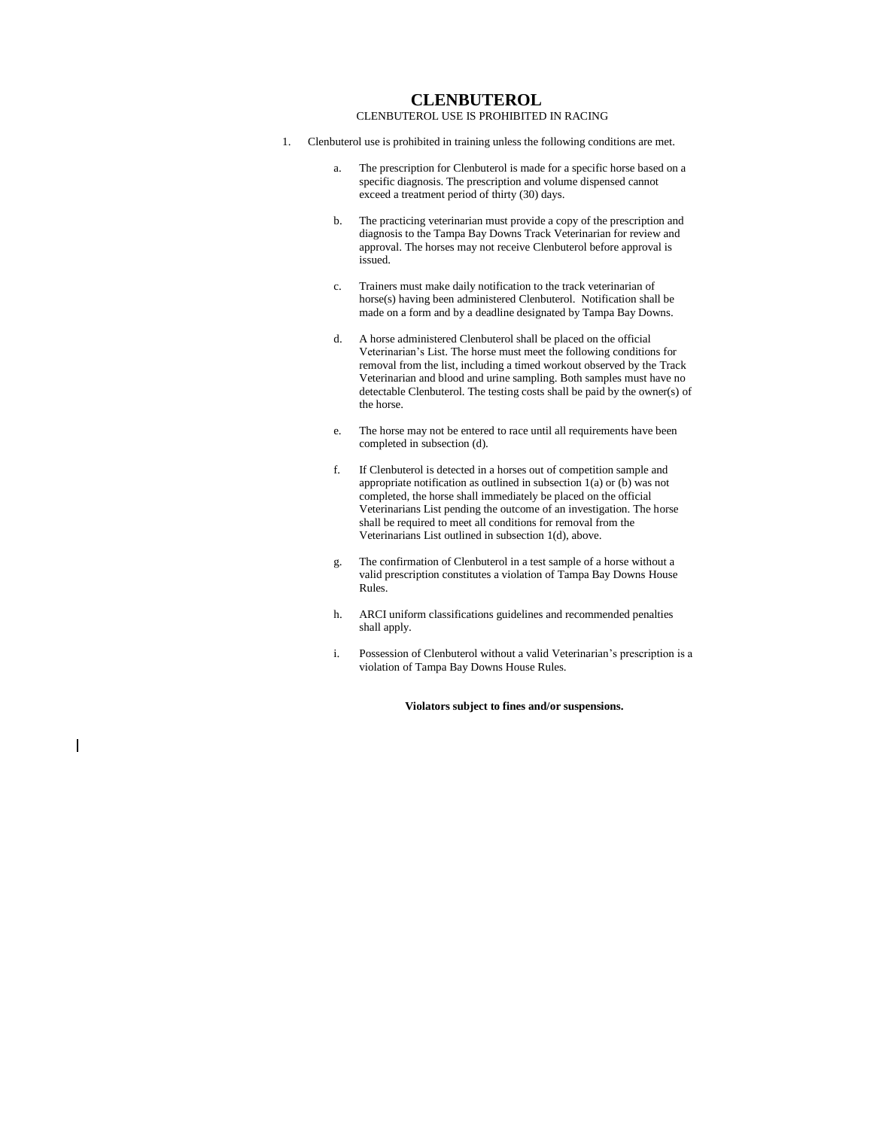# **CLENBUTEROL**

# CLENBUTEROL USE IS PROHIBITED IN RACING

- 1. Clenbuterol use is prohibited in training unless the following conditions are met.
	- a. The prescription for Clenbuterol is made for a specific horse based on a specific diagnosis. The prescription and volume dispensed cannot exceed a treatment period of thirty (30) days.
	- b. The practicing veterinarian must provide a copy of the prescription and diagnosis to the Tampa Bay Downs Track Veterinarian for review and approval. The horses may not receive Clenbuterol before approval is issued.
	- c. Trainers must make daily notification to the track veterinarian of horse(s) having been administered Clenbuterol. Notification shall be made on a form and by a deadline designated by Tampa Bay Downs.
	- d. A horse administered Clenbuterol shall be placed on the official Veterinarian's List. The horse must meet the following conditions for removal from the list, including a timed workout observed by the Track Veterinarian and blood and urine sampling. Both samples must have no detectable Clenbuterol. The testing costs shall be paid by the owner(s) of the horse.
	- e. The horse may not be entered to race until all requirements have been completed in subsection (d).
	- f. If Clenbuterol is detected in a horses out of competition sample and appropriate notification as outlined in subsection 1(a) or (b) was not completed, the horse shall immediately be placed on the official Veterinarians List pending the outcome of an investigation. The horse shall be required to meet all conditions for removal from the Veterinarians List outlined in subsection 1(d), above.
	- g. The confirmation of Clenbuterol in a test sample of a horse without a valid prescription constitutes a violation of Tampa Bay Downs House Rules.
	- h. ARCI uniform classifications guidelines and recommended penalties shall apply.
	- i. Possession of Clenbuterol without a valid Veterinarian's prescription is a violation of Tampa Bay Downs House Rules.

**Violators subject to fines and/or suspensions.**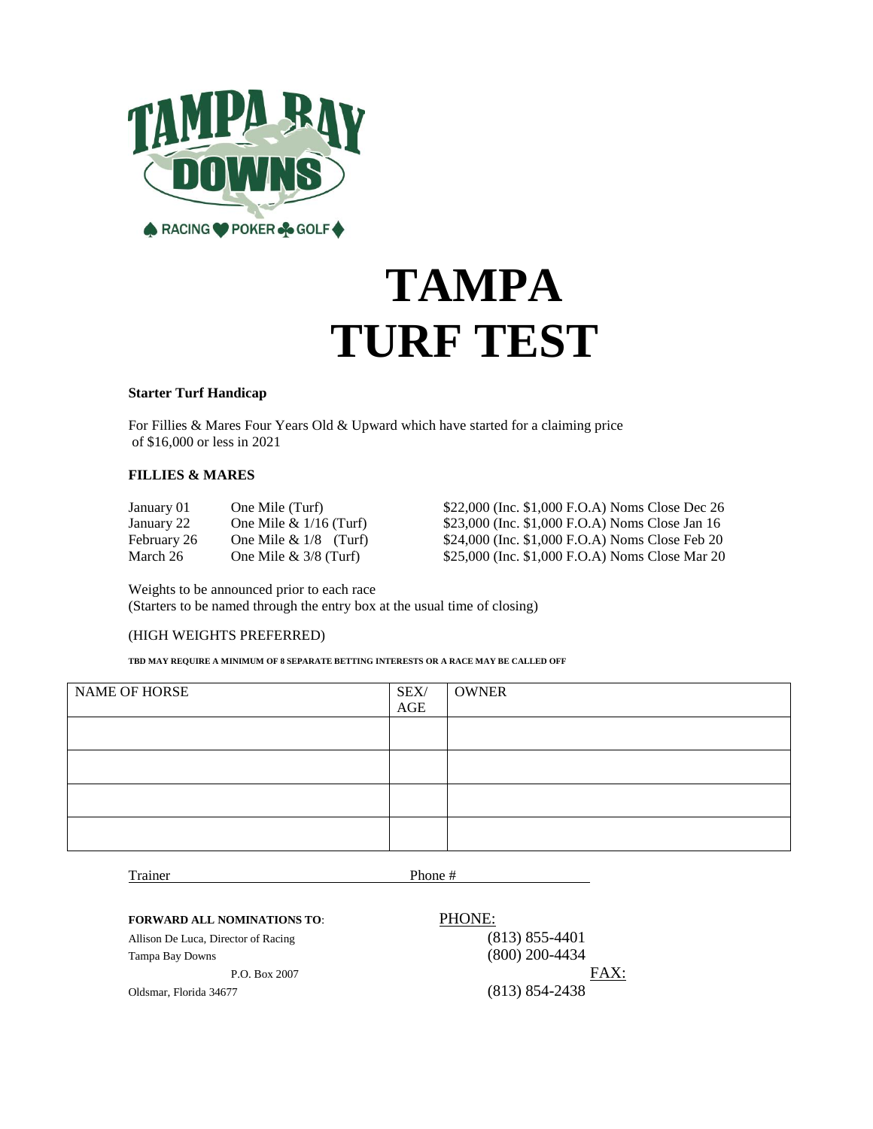

# **TAMPA TURF TEST**

# **Starter Turf Handicap**

For Fillies & Mares Four Years Old & Upward which have started for a claiming price of \$16,000 or less in 2021

# **FILLIES & MARES**

| January 01  | One Mile (Turf)          |
|-------------|--------------------------|
| January 22  | One Mile $& 1/16$ (Turf) |
| February 26 | One Mile $& 1/8$ (Turf)  |
| March 26    | One Mile $& 3/8$ (Turf)  |

\$22,000 (Inc. \$1,000 F.O.A) Noms Close Dec 26 \$23,000 (Inc. \$1,000 F.O.A) Noms Close Jan 16 \$24,000 (Inc. \$1,000 F.O.A) Noms Close Feb 20 \$25,000 (Inc. \$1,000 F.O.A) Noms Close Mar 20

Weights to be announced prior to each race (Starters to be named through the entry box at the usual time of closing)

# (HIGH WEIGHTS PREFERRED)

**TBD MAY REQUIRE A MINIMUM OF 8 SEPARATE BETTING INTERESTS OR A RACE MAY BE CALLED OFF**

| NAME OF HORSE | SEX/<br>$\mathbf{AGE}$ | <b>OWNER</b> |
|---------------|------------------------|--------------|
|               |                        |              |
|               |                        |              |
|               |                        |              |
|               |                        |              |

Trainer Phone #

# **FORWARD ALL NOMINATIONS TO**: PHONE:

Allison De Luca, Director of Racing (813) 855-4401

Tampa Bay Downs (800) 200-4434 P.O. Box 2007 FAX: Oldsmar, Florida 34677 (813) 854-2438